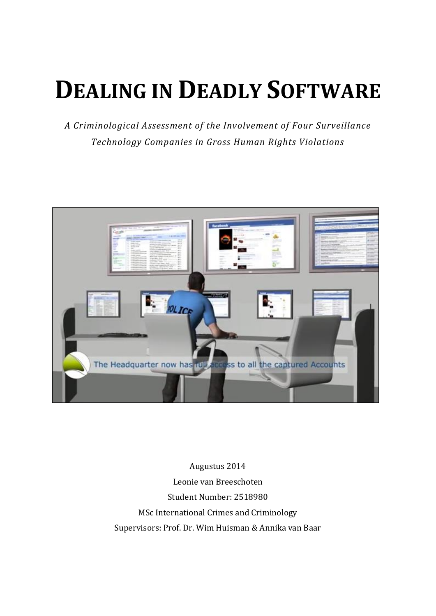# **DEALING IN DEADLY SOFTWARE**

*A Criminological Assessment of the Involvement of Four Surveillance Technology Companies in Gross Human Rights Violations*



Augustus 2014 Leonie van Breeschoten Student Number: 2518980 MSc International Crimes and Criminology Supervisors: Prof. Dr. Wim Huisman & Annika van Baar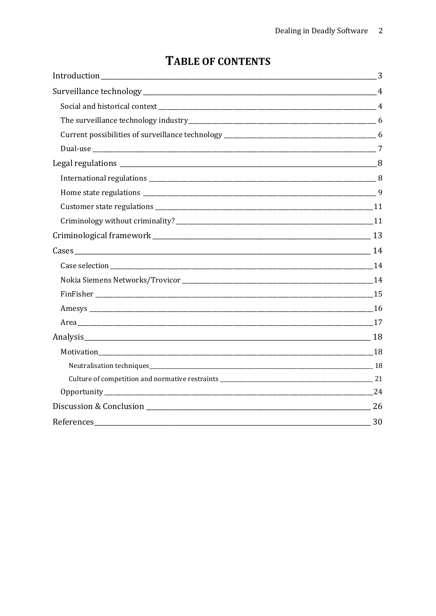| References 30 |  |
|---------------|--|

# **TABLE OF CONTENTS**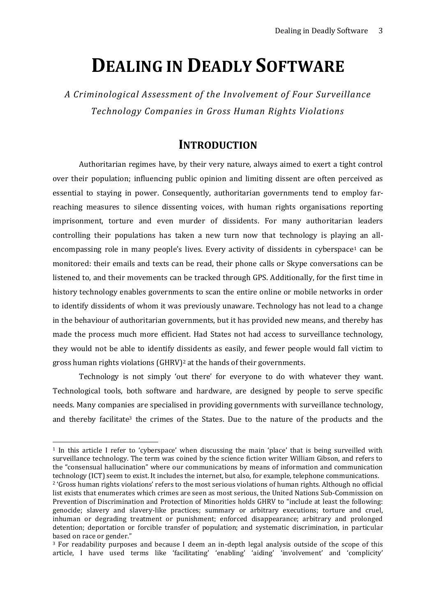# **DEALING IN DEADLY SOFTWARE**

*A Criminological Assessment of the Involvement of Four Surveillance Technology Companies in Gross Human Rights Violations*

# **INTRODUCTION**

<span id="page-2-0"></span>Authoritarian regimes have, by their very nature, always aimed to exert a tight control over their population; influencing public opinion and limiting dissent are often perceived as essential to staying in power. Consequently, authoritarian governments tend to employ farreaching measures to silence dissenting voices, with human rights organisations reporting imprisonment, torture and even murder of dissidents. For many authoritarian leaders controlling their populations has taken a new turn now that technology is playing an allencompassing role in many people's lives. Every activity of dissidents in cyberspace<sup>1</sup> can be monitored: their emails and texts can be read, their phone calls or Skype conversations can be listened to, and their movements can be tracked through GPS. Additionally, for the first time in history technology enables governments to scan the entire online or mobile networks in order to identify dissidents of whom it was previously unaware. Technology has not lead to a change in the behaviour of authoritarian governments, but it has provided new means, and thereby has made the process much more efficient. Had States not had access to surveillance technology, they would not be able to identify dissidents as easily, and fewer people would fall victim to gross human rights violations (GHRV)<sup>2</sup> at the hands of their governments.

Technology is not simply 'out there' for everyone to do with whatever they want. Technological tools, both software and hardware, are designed by people to serve specific needs. Many companies are specialised in providing governments with surveillance technology, and thereby facilitate<sup>3</sup> the crimes of the States. Due to the nature of the products and the

<sup>1</sup> In this article I refer to 'cyberspace' when discussing the main 'place' that is being surveilled with surveillance technology. The term was coined by the science fiction writer William Gibson, and refers to the "consensual hallucination" where our communications by means of information and communication technology (ICT) seem to exist. It includes the internet, but also, for example, telephone communications. <sup>2</sup> 'Gross human rights violations' refers to the most serious violations of human rights. Although no official list exists that enumerates which crimes are seen as most serious, the United Nations Sub-Commission on Prevention of Discrimination and Protection of Minorities holds GHRV to "include at least the following: genocide; slavery and slavery-like practices; summary or arbitrary executions; torture and cruel, inhuman or degrading treatment or punishment; enforced disappearance; arbitrary and prolonged detention; deportation or forcible transfer of population; and systematic discrimination, in particular based on race or gender."

<sup>3</sup> For readability purposes and because I deem an in-depth legal analysis outside of the scope of this article, I have used terms like 'facilitating' 'enabling' 'aiding' 'involvement' and 'complicity'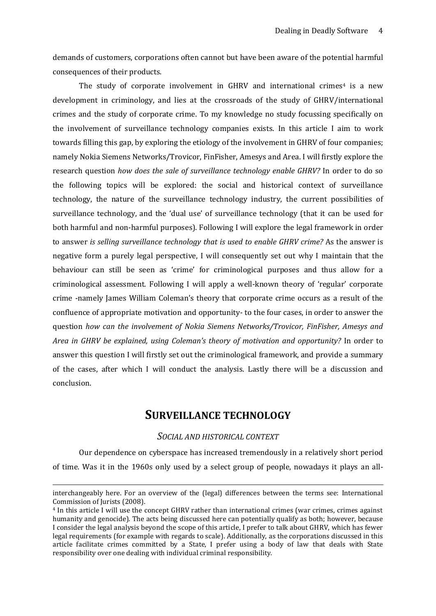demands of customers, corporations often cannot but have been aware of the potential harmful consequences of their products.

The study of corporate involvement in GHRV and international crimes<sup>4</sup> is a new development in criminology, and lies at the crossroads of the study of GHRV/international crimes and the study of corporate crime. To my knowledge no study focussing specifically on the involvement of surveillance technology companies exists. In this article I aim to work towards filling this gap, by exploring the etiology of the involvement in GHRV of four companies; namely Nokia Siemens Networks/Trovicor, FinFisher, Amesys and Area. I will firstly explore the research question *how does the sale of surveillance technology enable GHRV?* In order to do so the following topics will be explored: the social and historical context of surveillance technology, the nature of the surveillance technology industry, the current possibilities of surveillance technology, and the 'dual use' of surveillance technology (that it can be used for both harmful and non-harmful purposes). Following I will explore the legal framework in order to answer *is selling surveillance technology that is used to enable GHRV crime?* As the answer is negative form a purely legal perspective, I will consequently set out why I maintain that the behaviour can still be seen as 'crime' for criminological purposes and thus allow for a criminological assessment. Following I will apply a well-known theory of 'regular' corporate crime -namely James William Coleman's theory that corporate crime occurs as a result of the confluence of appropriate motivation and opportunity- to the four cases, in order to answer the question *how can the involvement of Nokia Siemens Networks/Trovicor, FinFisher, Amesys and Area in GHRV be explained, using Coleman's theory of motivation and opportunity?* In order to answer this question I will firstly set out the criminological framework, and provide a summary of the cases, after which I will conduct the analysis. Lastly there will be a discussion and conclusion.

# **SURVEILLANCE TECHNOLOGY**

# *SOCIAL AND HISTORICAL CONTEXT*

<span id="page-3-1"></span><span id="page-3-0"></span>Our dependence on cyberspace has increased tremendously in a relatively short period of time. Was it in the 1960s only used by a select group of people, nowadays it plays an all-

-

interchangeably here. For an overview of the (legal) differences between the terms see: International Commission of Jurists (2008).

<sup>4</sup> In this article I will use the concept GHRV rather than international crimes (war crimes, crimes against humanity and genocide). The acts being discussed here can potentially qualify as both; however, because I consider the legal analysis beyond the scope of this article, I prefer to talk about GHRV, which has fewer legal requirements (for example with regards to scale). Additionally, as the corporations discussed in this article facilitate crimes committed by a State, I prefer using a body of law that deals with State responsibility over one dealing with individual criminal responsibility.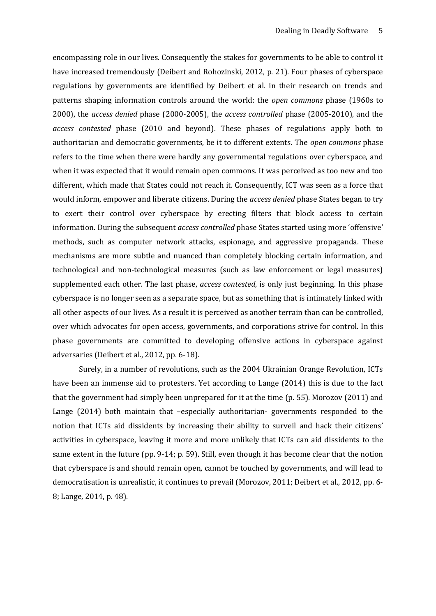encompassing role in our lives. Consequently the stakes for governments to be able to control it have increased tremendously (Deibert and Rohozinski, 2012, p. 21). Four phases of cyberspace regulations by governments are identified by Deibert et al. in their research on trends and patterns shaping information controls around the world: the *open commons* phase (1960s to 2000), the *access denied* phase (2000-2005), the *access controlled* phase (2005-2010), and the *access contested* phase (2010 and beyond). These phases of regulations apply both to authoritarian and democratic governments, be it to different extents. The *open commons* phase refers to the time when there were hardly any governmental regulations over cyberspace, and when it was expected that it would remain open commons. It was perceived as too new and too different, which made that States could not reach it. Consequently, ICT was seen as a force that would inform, empower and liberate citizens. During the *access denied* phase States began to try to exert their control over cyberspace by erecting filters that block access to certain information. During the subsequent *access controlled* phase States started using more 'offensive' methods, such as computer network attacks, espionage, and aggressive propaganda. These mechanisms are more subtle and nuanced than completely blocking certain information, and technological and non-technological measures (such as law enforcement or legal measures) supplemented each other. The last phase, *access contested*, is only just beginning. In this phase cyberspace is no longer seen as a separate space, but as something that is intimately linked with all other aspects of our lives. As a result it is perceived as another terrain than can be controlled, over which advocates for open access, governments, and corporations strive for control. In this phase governments are committed to developing offensive actions in cyberspace against adversaries (Deibert et al., 2012, pp. 6-18).

Surely, in a number of revolutions, such as the 2004 Ukrainian Orange Revolution, ICTs have been an immense aid to protesters. Yet according to Lange (2014) this is due to the fact that the government had simply been unprepared for it at the time (p. 55). Morozov (2011) and Lange (2014) both maintain that –especially authoritarian- governments responded to the notion that ICTs aid dissidents by increasing their ability to surveil and hack their citizens' activities in cyberspace, leaving it more and more unlikely that ICTs can aid dissidents to the same extent in the future (pp. 9-14; p. 59). Still, even though it has become clear that the notion that cyberspace is and should remain open, cannot be touched by governments, and will lead to democratisation is unrealistic, it continues to prevail (Morozov, 2011; Deibert et al., 2012, pp. 6- 8; Lange, 2014, p. 48).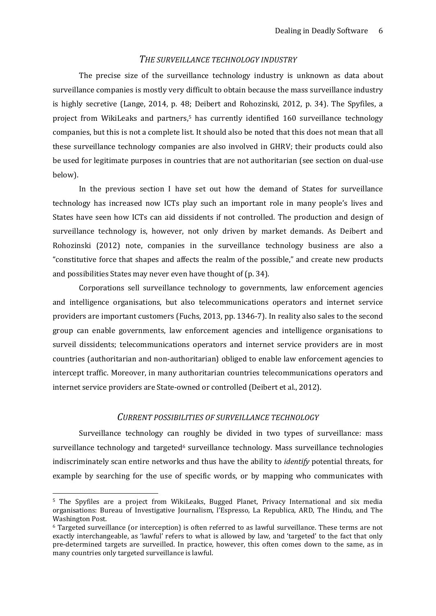#### *THE SURVEILLANCE TECHNOLOGY INDUSTRY*

<span id="page-5-0"></span>The precise size of the surveillance technology industry is unknown as data about surveillance companies is mostly very difficult to obtain because the mass surveillance industry is highly secretive (Lange, 2014, p. 48; Deibert and Rohozinski, 2012, p. 34). The Spyfiles, a project from WikiLeaks and partners,<sup>5</sup> has currently identified 160 surveillance technology companies, but this is not a complete list. It should also be noted that this does not mean that all these surveillance technology companies are also involved in GHRV; their products could also be used for legitimate purposes in countries that are not authoritarian (see section on dual-use below).

In the previous section I have set out how the demand of States for surveillance technology has increased now ICTs play such an important role in many people's lives and States have seen how ICTs can aid dissidents if not controlled. The production and design of surveillance technology is, however, not only driven by market demands. As Deibert and Rohozinski (2012) note, companies in the surveillance technology business are also a "constitutive force that shapes and affects the realm of the possible," and create new products and possibilities States may never even have thought of (p. 34).

Corporations sell surveillance technology to governments, law enforcement agencies and intelligence organisations, but also telecommunications operators and internet service providers are important customers (Fuchs, 2013, pp. 1346-7). In reality also sales to the second group can enable governments, law enforcement agencies and intelligence organisations to surveil dissidents; telecommunications operators and internet service providers are in most countries (authoritarian and non-authoritarian) obliged to enable law enforcement agencies to intercept traffic. Moreover, in many authoritarian countries telecommunications operators and internet service providers are State-owned or controlled (Deibert et al., 2012).

#### *CURRENT POSSIBILITIES OF SURVEILLANCE TECHNOLOGY*

<span id="page-5-1"></span>Surveillance technology can roughly be divided in two types of surveillance: mass surveillance technology and targeted<sup>6</sup> surveillance technology. Mass surveillance technologies indiscriminately scan entire networks and thus have the ability to *identify* potential threats, for example by searching for the use of specific words, or by mapping who communicates with

-

<sup>5</sup> The Spyfiles are a project from WikiLeaks, Bugged Planet, Privacy International and six media organisations: Bureau of Investigative Journalism, l'Espresso, La Republica, ARD, The Hindu, and The Washington Post.

<sup>6</sup> Targeted surveillance (or interception) is often referred to as lawful surveillance. These terms are not exactly interchangeable, as 'lawful' refers to what is allowed by law, and 'targeted' to the fact that only pre-determined targets are surveilled. In practice, however, this often comes down to the same, as in many countries only targeted surveillance is lawful.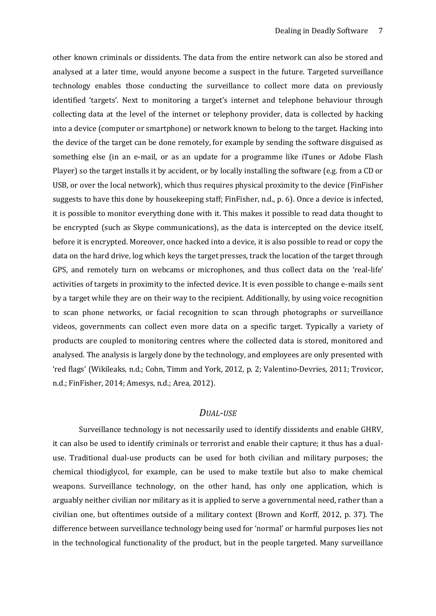other known criminals or dissidents. The data from the entire network can also be stored and analysed at a later time, would anyone become a suspect in the future. Targeted surveillance technology enables those conducting the surveillance to collect more data on previously identified 'targets'. Next to monitoring a target's internet and telephone behaviour through collecting data at the level of the internet or telephony provider, data is collected by hacking into a device (computer or smartphone) or network known to belong to the target. Hacking into the device of the target can be done remotely, for example by sending the software disguised as something else (in an e-mail, or as an update for a programme like iTunes or Adobe Flash Player) so the target installs it by accident, or by locally installing the software (e.g. from a CD or USB, or over the local network), which thus requires physical proximity to the device (FinFisher suggests to have this done by housekeeping staff; FinFisher, n.d., p. 6). Once a device is infected, it is possible to monitor everything done with it. This makes it possible to read data thought to be encrypted (such as Skype communications), as the data is intercepted on the device itself, before it is encrypted. Moreover, once hacked into a device, it is also possible to read or copy the data on the hard drive, log which keys the target presses, track the location of the target through GPS, and remotely turn on webcams or microphones, and thus collect data on the 'real-life' activities of targets in proximity to the infected device. It is even possible to change e-mails sent by a target while they are on their way to the recipient. Additionally, by using voice recognition to scan phone networks, or facial recognition to scan through photographs or surveillance videos, governments can collect even more data on a specific target. Typically a variety of products are coupled to monitoring centres where the collected data is stored, monitored and analysed. The analysis is largely done by the technology, and employees are only presented with 'red flags' (Wikileaks, n.d.; Cohn, Timm and York, 2012, p. 2; Valentino-Devries, 2011; Trovicor, n.d.; FinFisher, 2014; Amesys, n.d.; Area, 2012).

#### *DUAL-USE*

<span id="page-6-0"></span>Surveillance technology is not necessarily used to identify dissidents and enable GHRV, it can also be used to identify criminals or terrorist and enable their capture; it thus has a dualuse. Traditional dual-use products can be used for both civilian and military purposes; the chemical thiodiglycol, for example, can be used to make textile but also to make chemical weapons. Surveillance technology, on the other hand, has only one application, which is arguably neither civilian nor military as it is applied to serve a governmental need, rather than a civilian one, but oftentimes outside of a military context (Brown and Korff, 2012, p. 37). The difference between surveillance technology being used for 'normal' or harmful purposes lies not in the technological functionality of the product, but in the people targeted. Many surveillance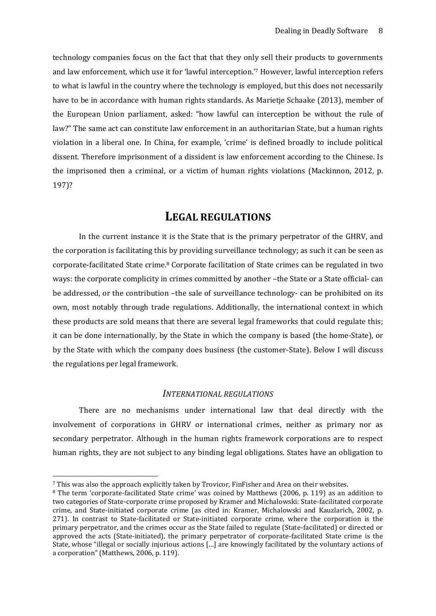technology companies focus on the fact that that they only sell their products to governments and law enforcement, which use it for 'lawful interception.'<sup>7</sup> However, lawful interception refers to what is lawful in the country where the technology is employed, but this does not necessarily have to be in accordance with human rights standards. As Marietje Schaake (2013), member of the European Union parliament, asked: "how lawful can interception be without the rule of law?" The same act can constitute law enforcement in an authoritarian State, but a human rights violation in a liberal one. In China, for example, 'crime' is defined broadly to include political dissent. Therefore imprisonment of a dissident is law enforcement according to the Chinese. Is the imprisoned then a criminal, or a victim of human rights violations (Mackinnon, 2012, p. 197)?

# **LEGAL REGULATIONS**

<span id="page-7-0"></span>In the current instance it is the State that is the primary perpetrator of the GHRV, and the corporation is facilitating this by providing surveillance technology; as such it can be seen as corporate-facilitated State crime.<sup>8</sup> Corporate facilitation of State crimes can be regulated in two ways: the corporate complicity in crimes committed by another –the State or a State official- can be addressed, or the contribution –the sale of surveillance technology- can be prohibited on its own, most notably through trade regulations. Additionally, the international context in which these products are sold means that there are several legal frameworks that could regulate this; it can be done internationally, by the State in which the company is based (the home-State), or by the State with which the company does business (the customer-State). Below I will discuss the regulations per legal framework.

#### *INTERNATIONAL REGULATIONS*

<span id="page-7-1"></span>There are no mechanisms under international law that deal directly with the involvement of corporations in GHRV or international crimes, neither as primary nor as secondary perpetrator. Although in the human rights framework corporations are to respect human rights, they are not subject to any binding legal obligations. States have an obligation to

<sup>7</sup> This was also the approach explicitly taken by Trovicor, FinFisher and Area on their websites.

<sup>8</sup> The term 'corporate-facilitated State crime' was coined by Matthews (2006, p. 119) as an addition to two categories of State-corporate crime proposed by Kramer and Michalowski: State-facilitated corporate crime, and State-initiated corporate crime (as cited in: Kramer, Michalowski and Kauzlarich, 2002, p. 271). In contrast to State-facilitated or State-initiated corporate crime, where the corporation is the primary perpetrator, and the crimes occur as the State failed to regulate (State-facilitated) or directed or approved the acts (State-initiated), the primary perpetrator of corporate-facilitated State crime is the State, whose "illegal or socially injurious actions […] are knowingly facilitated by the voluntary actions of a corporation" (Matthews, 2006, p. 119).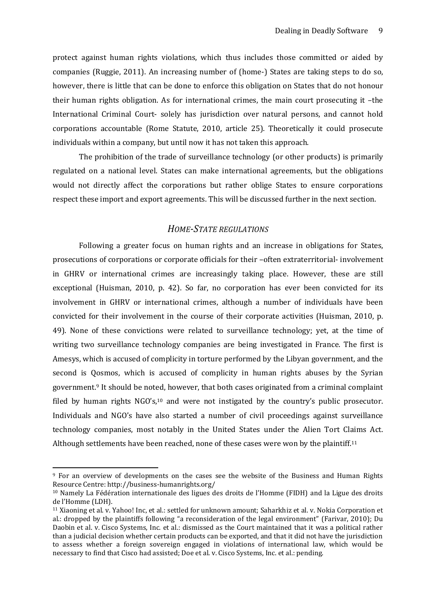protect against human rights violations, which thus includes those committed or aided by companies (Ruggie, 2011). An increasing number of (home-) States are taking steps to do so, however, there is little that can be done to enforce this obligation on States that do not honour their human rights obligation. As for international crimes, the main court prosecuting it –the International Criminal Court- solely has jurisdiction over natural persons, and cannot hold corporations accountable (Rome Statute, 2010, article 25). Theoretically it could prosecute individuals within a company, but until now it has not taken this approach.

The prohibition of the trade of surveillance technology (or other products) is primarily regulated on a national level. States can make international agreements, but the obligations would not directly affect the corporations but rather oblige States to ensure corporations respect these import and export agreements. This will be discussed further in the next section.

# *HOME-STATE REGULATIONS*

<span id="page-8-0"></span>Following a greater focus on human rights and an increase in obligations for States, prosecutions of corporations or corporate officials for their –often extraterritorial- involvement in GHRV or international crimes are increasingly taking place. However, these are still exceptional (Huisman, 2010, p. 42). So far, no corporation has ever been convicted for its involvement in GHRV or international crimes, although a number of individuals have been convicted for their involvement in the course of their corporate activities (Huisman, 2010, p. 49). None of these convictions were related to surveillance technology; yet, at the time of writing two surveillance technology companies are being investigated in France. The first is Amesys, which is accused of complicity in torture performed by the Libyan government, and the second is Qosmos, which is accused of complicity in human rights abuses by the Syrian government.<sup>9</sup> It should be noted, however, that both cases originated from a criminal complaint filed by human rights NGO's,<sup>10</sup> and were not instigated by the country's public prosecutor. Individuals and NGO's have also started a number of civil proceedings against surveillance technology companies, most notably in the United States under the Alien Tort Claims Act. Although settlements have been reached, none of these cases were won by the plaintiff.<sup>11</sup>

<sup>9</sup> For an overview of developments on the cases see the website of the Business and Human Rights Resource Centre: http://business-humanrights.org/

<sup>10</sup> Namely La Fédération internationale des ligues des droits de l'Homme (FIDH) and la Ligue des droits de l'Homme (LDH).

<sup>11</sup> Xiaoning et al. v. Yahoo! Inc, et al.: settled for unknown amount; Saharkhiz et al. v. Nokia Corporation et al.: dropped by the plaintiffs following "a reconsideration of the legal environment" (Farivar, 2010); Du Daobin et al. v. Cisco Systems, Inc. et al.: dismissed as the Court maintained that it was a political rather than a judicial decision whether certain products can be exported, and that it did not have the jurisdiction to assess whether a foreign sovereign engaged in violations of international law, which would be necessary to find that Cisco had assisted; Doe et al. v. Cisco Systems, Inc. et al.: pending.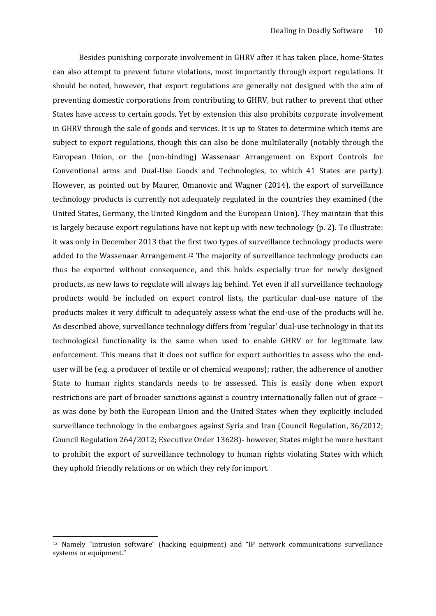Besides punishing corporate involvement in GHRV after it has taken place, home-States can also attempt to prevent future violations, most importantly through export regulations. It should be noted, however, that export regulations are generally not designed with the aim of preventing domestic corporations from contributing to GHRV, but rather to prevent that other States have access to certain goods. Yet by extension this also prohibits corporate involvement in GHRV through the sale of goods and services. It is up to States to determine which items are subject to export regulations, though this can also be done multilaterally (notably through the European Union, or the (non-binding) Wassenaar Arrangement on Export Controls for Conventional arms and Dual-Use Goods and Technologies, to which 41 States are party). However, as pointed out by Maurer, Omanovic and Wagner (2014), the export of surveillance technology products is currently not adequately regulated in the countries they examined (the United States, Germany, the United Kingdom and the European Union). They maintain that this is largely because export regulations have not kept up with new technology (p. 2). To illustrate: it was only in December 2013 that the first two types of surveillance technology products were added to the Wassenaar Arrangement.<sup>12</sup> The majority of surveillance technology products can thus be exported without consequence, and this holds especially true for newly designed products, as new laws to regulate will always lag behind. Yet even if all surveillance technology products would be included on export control lists, the particular dual-use nature of the products makes it very difficult to adequately assess what the end-use of the products will be. As described above, surveillance technology differs from 'regular' dual-use technology in that its technological functionality is the same when used to enable GHRV or for legitimate law enforcement. This means that it does not suffice for export authorities to assess who the enduser will be (e.g. a producer of textile or of chemical weapons); rather, the adherence of another State to human rights standards needs to be assessed. This is easily done when export restrictions are part of broader sanctions against a country internationally fallen out of grace – as was done by both the European Union and the United States when they explicitly included surveillance technology in the embargoes against Syria and Iran (Council Regulation, 36/2012; Council Regulation 264/2012; Executive Order 13628)- however, States might be more hesitant to prohibit the export of surveillance technology to human rights violating States with which they uphold friendly relations or on which they rely for import.

<sup>12</sup> Namely "intrusion software" (hacking equipment) and "IP network communications surveillance systems or equipment."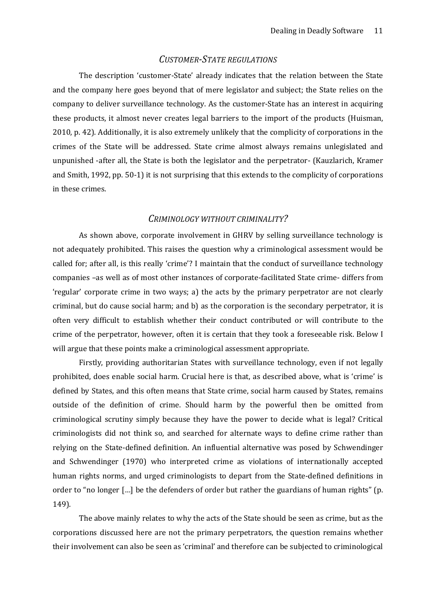# *CUSTOMER-STATE REGULATIONS*

<span id="page-10-0"></span>The description 'customer-State' already indicates that the relation between the State and the company here goes beyond that of mere legislator and subject; the State relies on the company to deliver surveillance technology. As the customer-State has an interest in acquiring these products, it almost never creates legal barriers to the import of the products (Huisman, 2010, p. 42). Additionally, it is also extremely unlikely that the complicity of corporations in the crimes of the State will be addressed. State crime almost always remains unlegislated and unpunished -after all, the State is both the legislator and the perpetrator- (Kauzlarich, Kramer and Smith, 1992, pp. 50-1) it is not surprising that this extends to the complicity of corporations in these crimes.

#### *CRIMINOLOGY WITHOUT CRIMINALITY?*

<span id="page-10-1"></span>As shown above, corporate involvement in GHRV by selling surveillance technology is not adequately prohibited. This raises the question why a criminological assessment would be called for; after all, is this really 'crime'? I maintain that the conduct of surveillance technology companies –as well as of most other instances of corporate-facilitated State crime- differs from 'regular' corporate crime in two ways; a) the acts by the primary perpetrator are not clearly criminal, but do cause social harm; and b) as the corporation is the secondary perpetrator, it is often very difficult to establish whether their conduct contributed or will contribute to the crime of the perpetrator, however, often it is certain that they took a foreseeable risk. Below I will argue that these points make a criminological assessment appropriate.

Firstly, providing authoritarian States with surveillance technology, even if not legally prohibited, does enable social harm. Crucial here is that, as described above, what is 'crime' is defined by States, and this often means that State crime, social harm caused by States, remains outside of the definition of crime. Should harm by the powerful then be omitted from criminological scrutiny simply because they have the power to decide what is legal? Critical criminologists did not think so, and searched for alternate ways to define crime rather than relying on the State-defined definition. An influential alternative was posed by Schwendinger and Schwendinger (1970) who interpreted crime as violations of internationally accepted human rights norms, and urged criminologists to depart from the State-defined definitions in order to "no longer […] be the defenders of order but rather the guardians of human rights" (p. 149).

The above mainly relates to why the acts of the State should be seen as crime, but as the corporations discussed here are not the primary perpetrators, the question remains whether their involvement can also be seen as 'criminal' and therefore can be subjected to criminological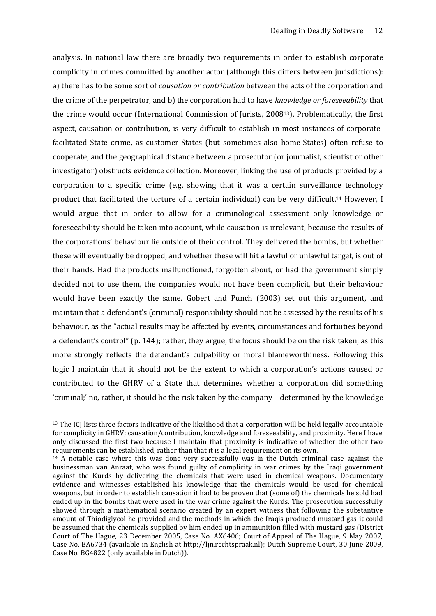analysis. In national law there are broadly two requirements in order to establish corporate complicity in crimes committed by another actor (although this differs between jurisdictions): a) there has to be some sort of *causation or contribution* between the acts of the corporation and the crime of the perpetrator, and b) the corporation had to have *knowledge or foreseeability* that the crime would occur (International Commission of Jurists, 200813). Problematically, the first aspect, causation or contribution, is very difficult to establish in most instances of corporatefacilitated State crime, as customer-States (but sometimes also home-States) often refuse to cooperate, and the geographical distance between a prosecutor (or journalist, scientist or other investigator) obstructs evidence collection. Moreover, linking the use of products provided by a corporation to a specific crime (e.g. showing that it was a certain surveillance technology product that facilitated the torture of a certain individual) can be very difficult.<sup>14</sup> However, I would argue that in order to allow for a criminological assessment only knowledge or foreseeability should be taken into account, while causation is irrelevant, because the results of the corporations' behaviour lie outside of their control. They delivered the bombs, but whether these will eventually be dropped, and whether these will hit a lawful or unlawful target, is out of their hands. Had the products malfunctioned, forgotten about, or had the government simply decided not to use them, the companies would not have been complicit, but their behaviour would have been exactly the same. Gobert and Punch (2003) set out this argument, and maintain that a defendant's (criminal) responsibility should not be assessed by the results of his behaviour, as the "actual results may be affected by events, circumstances and fortuities beyond a defendant's control" (p. 144); rather, they argue, the focus should be on the risk taken, as this more strongly reflects the defendant's culpability or moral blameworthiness. Following this logic I maintain that it should not be the extent to which a corporation's actions caused or contributed to the GHRV of a State that determines whether a corporation did something 'criminal;' no, rather, it should be the risk taken by the company – determined by the knowledge

-

<sup>&</sup>lt;sup>13</sup> The ICJ lists three factors indicative of the likelihood that a corporation will be held legally accountable for complicity in GHRV; causation/contribution, knowledge and foreseeability, and proximity. Here I have only discussed the first two because I maintain that proximity is indicative of whether the other two requirements can be established, rather than that it is a legal requirement on its own.

<sup>&</sup>lt;sup>14</sup> A notable case where this was done very successfully was in the Dutch criminal case against the businessman van Anraat, who was found guilty of complicity in war crimes by the Iraqi government against the Kurds by delivering the chemicals that were used in chemical weapons. Documentary evidence and witnesses established his knowledge that the chemicals would be used for chemical weapons, but in order to establish causation it had to be proven that (some of) the chemicals he sold had ended up in the bombs that were used in the war crime against the Kurds. The prosecution successfully showed through a mathematical scenario created by an expert witness that following the substantive amount of Thiodiglycol he provided and the methods in which the Iraqis produced mustard gas it could be assumed that the chemicals supplied by him ended up in ammunition filled with mustard gas (District Court of The Hague, 23 December 2005, Case No. AX6406; Court of Appeal of The Hague, 9 May 2007, Case No. BA6734 (available in English at [http://ljn.rechtspraak.nl\)](http://ljn.rechtspraak.nl/); Dutch Supreme Court, 30 June 2009, Case No. BG4822 (only available in Dutch)).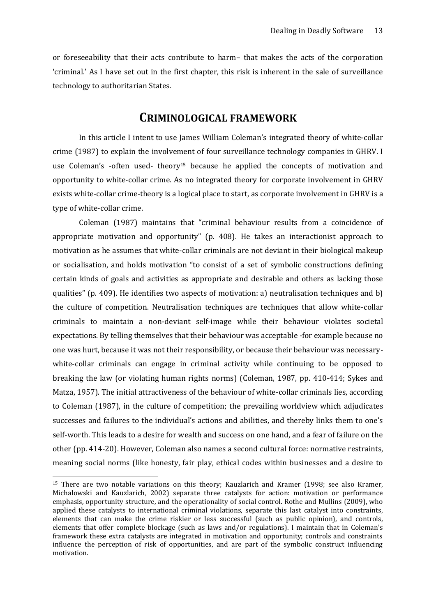or foreseeability that their acts contribute to harm– that makes the acts of the corporation 'criminal.' As I have set out in the first chapter, this risk is inherent in the sale of surveillance technology to authoritarian States.

# **CRIMINOLOGICAL FRAMEWORK**

<span id="page-12-0"></span>In this article I intent to use James William Coleman's integrated theory of white-collar crime (1987) to explain the involvement of four surveillance technology companies in GHRV. I use Coleman's -often used- theory<sup>15</sup> because he applied the concepts of motivation and opportunity to white-collar crime. As no integrated theory for corporate involvement in GHRV exists white-collar crime-theory is a logical place to start, as corporate involvement in GHRV is a type of white-collar crime.

Coleman (1987) maintains that "criminal behaviour results from a coincidence of appropriate motivation and opportunity" (p. 408). He takes an interactionist approach to motivation as he assumes that white-collar criminals are not deviant in their biological makeup or socialisation, and holds motivation "to consist of a set of symbolic constructions defining certain kinds of goals and activities as appropriate and desirable and others as lacking those qualities" (p. 409). He identifies two aspects of motivation: a) neutralisation techniques and b) the culture of competition. Neutralisation techniques are techniques that allow white-collar criminals to maintain a non-deviant self-image while their behaviour violates societal expectations. By telling themselves that their behaviour was acceptable -for example because no one was hurt, because it was not their responsibility, or because their behaviour was necessarywhite-collar criminals can engage in criminal activity while continuing to be opposed to breaking the law (or violating human rights norms) (Coleman, 1987, pp. 410-414; Sykes and Matza, 1957). The initial attractiveness of the behaviour of white-collar criminals lies, according to Coleman (1987), in the culture of competition; the prevailing worldview which adjudicates successes and failures to the individual's actions and abilities, and thereby links them to one's self-worth. This leads to a desire for wealth and success on one hand, and a fear of failure on the other (pp. 414-20). However, Coleman also names a second cultural force: normative restraints, meaning social norms (like honesty, fair play, ethical codes within businesses and a desire to

<sup>15</sup> There are two notable variations on this theory; Kauzlarich and Kramer (1998; see also Kramer, Michalowski and Kauzlarich, 2002) separate three catalysts for action: motivation or performance emphasis, opportunity structure, and the operationality of social control. Rothe and Mullins (2009), who applied these catalysts to international criminal violations, separate this last catalyst into constraints, elements that can make the crime riskier or less successful (such as public opinion), and controls, elements that offer complete blockage (such as laws and/or regulations). I maintain that in Coleman's framework these extra catalysts are integrated in motivation and opportunity; controls and constraints influence the perception of risk of opportunities, and are part of the symbolic construct influencing motivation.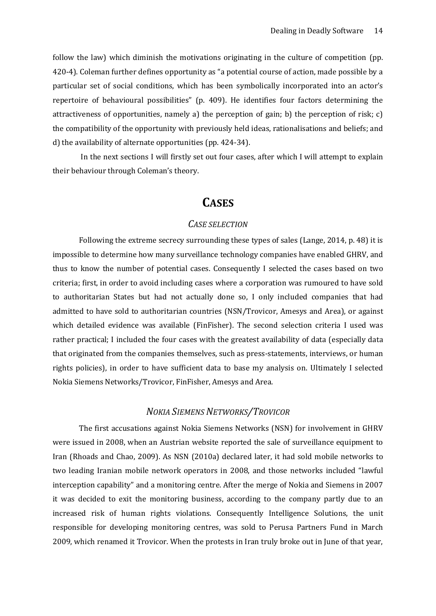follow the law) which diminish the motivations originating in the culture of competition (pp. 420-4). Coleman further defines opportunity as "a potential course of action, made possible by a particular set of social conditions, which has been symbolically incorporated into an actor's repertoire of behavioural possibilities" (p. 409). He identifies four factors determining the attractiveness of opportunities, namely a) the perception of gain; b) the perception of risk; c) the compatibility of the opportunity with previously held ideas, rationalisations and beliefs; and d) the availability of alternate opportunities (pp. 424-34).

<span id="page-13-0"></span>In the next sections I will firstly set out four cases, after which I will attempt to explain their behaviour through Coleman's theory.

# **CASES**

#### *CASE SELECTION*

<span id="page-13-1"></span>Following the extreme secrecy surrounding these types of sales (Lange, 2014, p. 48) it is impossible to determine how many surveillance technology companies have enabled GHRV, and thus to know the number of potential cases. Consequently I selected the cases based on two criteria; first, in order to avoid including cases where a corporation was rumoured to have sold to authoritarian States but had not actually done so, I only included companies that had admitted to have sold to authoritarian countries (NSN/Trovicor, Amesys and Area), or against which detailed evidence was available (FinFisher). The second selection criteria I used was rather practical; I included the four cases with the greatest availability of data (especially data that originated from the companies themselves, such as press-statements, interviews, or human rights policies), in order to have sufficient data to base my analysis on. Ultimately I selected Nokia Siemens Networks/Trovicor, FinFisher, Amesys and Area.

# *NOKIA SIEMENS NETWORKS/TROVICOR*

<span id="page-13-2"></span>The first accusations against Nokia Siemens Networks (NSN) for involvement in GHRV were issued in 2008, when an Austrian website reported the sale of surveillance equipment to Iran (Rhoads and Chao, 2009). As NSN (2010a) declared later, it had sold mobile networks to two leading Iranian mobile network operators in 2008, and those networks included "lawful interception capability" and a monitoring centre. After the merge of Nokia and Siemens in 2007 it was decided to exit the monitoring business, according to the company partly due to an increased risk of human rights violations. Consequently Intelligence Solutions, the unit responsible for developing monitoring centres, was sold to Perusa Partners Fund in March 2009, which renamed it Trovicor. When the protests in Iran truly broke out in June of that year,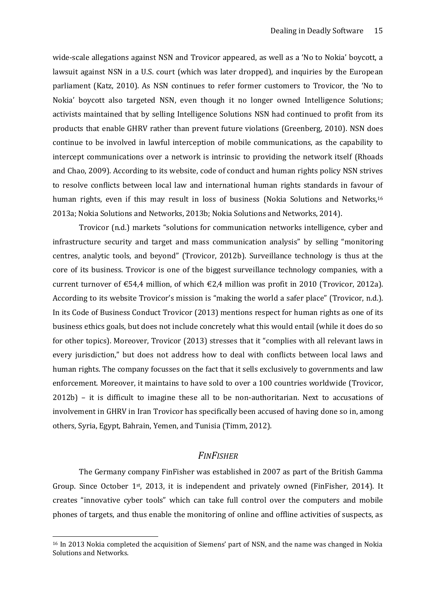wide-scale allegations against NSN and Trovicor appeared, as well as a 'No to Nokia' boycott, a lawsuit against NSN in a U.S. court (which was later dropped), and inquiries by the European parliament (Katz, 2010). As NSN continues to refer former customers to Trovicor, the 'No to Nokia' boycott also targeted NSN, even though it no longer owned Intelligence Solutions; activists maintained that by selling Intelligence Solutions NSN had continued to profit from its products that enable GHRV rather than prevent future violations (Greenberg, 2010). NSN does continue to be involved in lawful interception of mobile communications, as the capability to intercept communications over a network is intrinsic to providing the network itself (Rhoads and Chao, 2009). According to its website, code of conduct and human rights policy NSN strives to resolve conflicts between local law and international human rights standards in favour of human rights, even if this may result in loss of business (Nokia Solutions and Networks,<sup>16</sup> 2013a; Nokia Solutions and Networks, 2013b; Nokia Solutions and Networks, 2014).

Trovicor (n.d.) markets "solutions for communication networks intelligence, cyber and infrastructure security and target and mass communication analysis" by selling "monitoring centres, analytic tools, and beyond" (Trovicor, 2012b). Surveillance technology is thus at the core of its business. Trovicor is one of the biggest surveillance technology companies, with a current turnover of  $\epsilon$ 54,4 million, of which  $\epsilon$ 2,4 million was profit in 2010 (Trovicor, 2012a). According to its website Trovicor's mission is "making the world a safer place" (Trovicor, n.d.). In its Code of Business Conduct Trovicor (2013) mentions respect for human rights as one of its business ethics goals, but does not include concretely what this would entail (while it does do so for other topics). Moreover, Trovicor (2013) stresses that it "complies with all relevant laws in every jurisdiction," but does not address how to deal with conflicts between local laws and human rights. The company focusses on the fact that it sells exclusively to governments and law enforcement. Moreover, it maintains to have sold to over a 100 countries worldwide (Trovicor, 2012b) – it is difficult to imagine these all to be non-authoritarian. Next to accusations of involvement in GHRV in Iran Trovicor has specifically been accused of having done so in, among others*,* Syria, Egypt, Bahrain, Yemen, and Tunisia (Timm, 2012).

# *FINFISHER*

<span id="page-14-0"></span>The Germany company FinFisher was established in 2007 as part of the British Gamma Group. Since October 1st, 2013, it is independent and privately owned (FinFisher, 2014). It creates "innovative cyber tools" which can take full control over the computers and mobile phones of targets, and thus enable the monitoring of online and offline activities of suspects, as

<sup>&</sup>lt;sup>16</sup> In 2013 Nokia completed the acquisition of Siemens' part of NSN, and the name was changed in Nokia Solutions and Networks.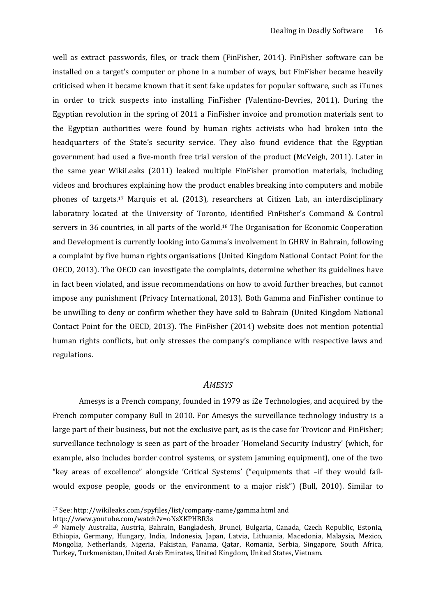well as extract passwords, files, or track them (FinFisher, 2014). FinFisher software can be installed on a target's computer or phone in a number of ways, but FinFisher became heavily criticised when it became known that it sent fake updates for popular software, such as iTunes in order to trick suspects into installing FinFisher (Valentino-Devries, 2011). During the Egyptian revolution in the spring of 2011 a FinFisher invoice and promotion materials sent to the Egyptian authorities were found by human rights activists who had broken into the headquarters of the State's security service. They also found evidence that the Egyptian government had used a five-month free trial version of the product (McVeigh, 2011). Later in the same year WikiLeaks (2011) leaked multiple FinFisher promotion materials, including videos and brochures explaining how the product enables breaking into computers and mobile phones of targets.<sup>17</sup> Marquis et al. (2013), researchers at Citizen Lab, an interdisciplinary laboratory located at the University of Toronto, identified FinFisher's Command & Control servers in 36 countries, in all parts of the world.<sup>18</sup> The Organisation for Economic Cooperation and Development is currently looking into Gamma's involvement in GHRV in Bahrain, following a complaint by five human rights organisations (United Kingdom National Contact Point for the OECD, 2013). The OECD can investigate the complaints, determine whether its guidelines have in fact been violated, and issue recommendations on how to avoid further breaches, but cannot impose any punishment (Privacy International, 2013). Both Gamma and FinFisher continue to be unwilling to deny or confirm whether they have sold to Bahrain (United Kingdom National Contact Point for the OECD, 2013). The FinFisher (2014) website does not mention potential human rights conflicts, but only stresses the company's compliance with respective laws and regulations.

#### *AMESYS*

<span id="page-15-0"></span>Amesys is a French company, founded in 1979 as i2e Technologies, and acquired by the French computer company Bull in 2010. For Amesys the surveillance technology industry is a large part of their business, but not the exclusive part, as is the case for Trovicor and FinFisher; surveillance technology is seen as part of the broader 'Homeland Security Industry' (which, for example, also includes border control systems, or system jamming equipment), one of the two "key areas of excellence" alongside 'Critical Systems' ("equipments that –if they would failwould expose people, goods or the environment to a major risk") (Bull, 2010). Similar to

<sup>17</sup> See:<http://wikileaks.com/spyfiles/list/company-name/gamma.html> and

<http://www.youtube.com/watch?v=oNsXKPHBR3s>

<sup>18</sup> Namely Australia, Austria, Bahrain, Bangladesh, Brunei, Bulgaria, Canada, Czech Republic, Estonia, Ethiopia, Germany, Hungary, India, Indonesia, Japan, Latvia, Lithuania, Macedonia, Malaysia, Mexico, Mongolia, Netherlands, Nigeria, Pakistan, Panama, Qatar, Romania, Serbia, Singapore, South Africa, Turkey, Turkmenistan, United Arab Emirates, United Kingdom, United States, Vietnam.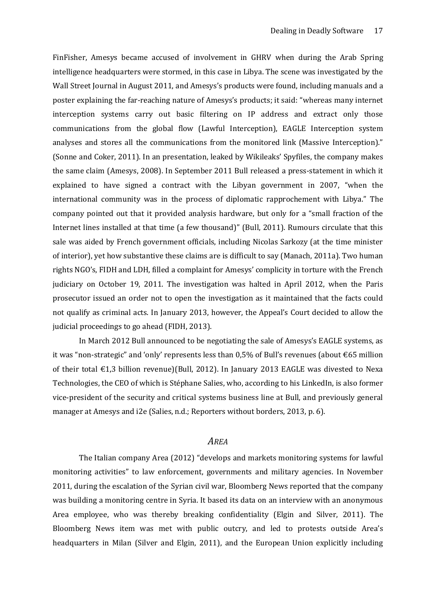FinFisher, Amesys became accused of involvement in GHRV when during the Arab Spring intelligence headquarters were stormed, in this case in Libya. The scene was investigated by the Wall Street Journal in August 2011, and Amesys's products were found, including manuals and a poster explaining the far-reaching nature of Amesys's products; it said: "whereas many internet interception systems carry out basic filtering on IP address and extract only those communications from the global flow (Lawful Interception), EAGLE Interception system analyses and stores all the communications from the monitored link (Massive Interception)." (Sonne and Coker, 2011). In an presentation, leaked by Wikileaks' Spyfiles, the company makes the same claim (Amesys, 2008). In September 2011 Bull released a press-statement in which it explained to have signed a contract with the Libyan government in 2007, "when the international community was in the process of diplomatic rapprochement with Libya." The company pointed out that it provided analysis hardware, but only for a "small fraction of the Internet lines installed at that time (a few thousand)" (Bull, 2011). Rumours circulate that this sale was aided by French government officials, including Nicolas Sarkozy (at the time minister of interior), yet how substantive these claims are is difficult to say (Manach, 2011a). Two human rights NGO's, FIDH and LDH, filled a complaint for Amesys' complicity in torture with the French judiciary on October 19, 2011. The investigation was halted in April 2012, when the Paris prosecutor issued an order not to open the investigation as it maintained that the facts could not qualify as criminal acts. In January 2013, however, the Appeal's Court decided to allow the judicial proceedings to go ahead (FIDH, 2013).

In March 2012 Bull announced to be negotiating the sale of Amesys's EAGLE systems, as it was "non-strategic" and 'only' represents less than  $0.5\%$  of Bull's revenues (about  $\epsilon$ 65 million of their total  $\epsilon$ 1,3 billion revenue)(Bull, 2012). In January 2013 EAGLE was divested to Nexa Technologies, the CEO of which is Stéphane Salies, who, according to his LinkedIn, is also former vice-president of the security and critical systems business line at Bull, and previously general manager at Amesys and i2e (Salies, n.d.; Reporters without borders, 2013, p. 6).

# *AREA*

<span id="page-16-0"></span>The Italian company Area (2012) "develops and markets monitoring systems for lawful monitoring activities" to law enforcement, governments and military agencies. In November 2011, during the escalation of the Syrian civil war, Bloomberg News reported that the company was building a monitoring centre in Syria. It based its data on an interview with an anonymous Area employee, who was thereby breaking confidentiality (Elgin and Silver, 2011). The Bloomberg News item was met with public outcry, and led to protests outside Area's headquarters in Milan (Silver and Elgin, 2011), and the European Union explicitly including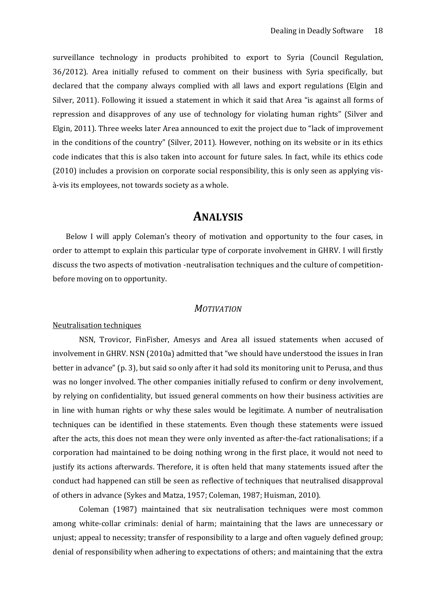surveillance technology in products prohibited to export to Syria (Council Regulation, 36/2012). Area initially refused to comment on their business with Syria specifically, but declared that the company always complied with all laws and export regulations (Elgin and Silver, 2011). Following it issued a statement in which it said that Area "is against all forms of repression and disapproves of any use of technology for violating human rights" (Silver and Elgin, 2011). Three weeks later Area announced to exit the project due to "lack of improvement in the conditions of the country" (Silver, 2011). However, nothing on its website or in its ethics code indicates that this is also taken into account for future sales. In fact, while its ethics code (2010) includes a provision on corporate social responsibility, this is only seen as applying visà-vis its employees, not towards society as a whole.

# **ANALYSIS**

<span id="page-17-0"></span>Below I will apply Coleman's theory of motivation and opportunity to the four cases, in order to attempt to explain this particular type of corporate involvement in GHRV. I will firstly discuss the two aspects of motivation -neutralisation techniques and the culture of competitionbefore moving on to opportunity.

# *MOTIVATION*

# <span id="page-17-2"></span><span id="page-17-1"></span>Neutralisation techniques

NSN, Trovicor, FinFisher, Amesys and Area all issued statements when accused of involvement in GHRV. NSN (2010a) admitted that "we should have understood the issues in Iran better in advance" (p. 3), but said so only after it had sold its monitoring unit to Perusa, and thus was no longer involved. The other companies initially refused to confirm or deny involvement, by relying on confidentiality, but issued general comments on how their business activities are in line with human rights or why these sales would be legitimate. A number of neutralisation techniques can be identified in these statements. Even though these statements were issued after the acts, this does not mean they were only invented as after-the-fact rationalisations; if a corporation had maintained to be doing nothing wrong in the first place, it would not need to justify its actions afterwards. Therefore, it is often held that many statements issued after the conduct had happened can still be seen as reflective of techniques that neutralised disapproval of others in advance (Sykes and Matza, 1957; Coleman, 1987; Huisman, 2010).

Coleman (1987) maintained that six neutralisation techniques were most common among white-collar criminals: denial of harm; maintaining that the laws are unnecessary or unjust; appeal to necessity; transfer of responsibility to a large and often vaguely defined group; denial of responsibility when adhering to expectations of others; and maintaining that the extra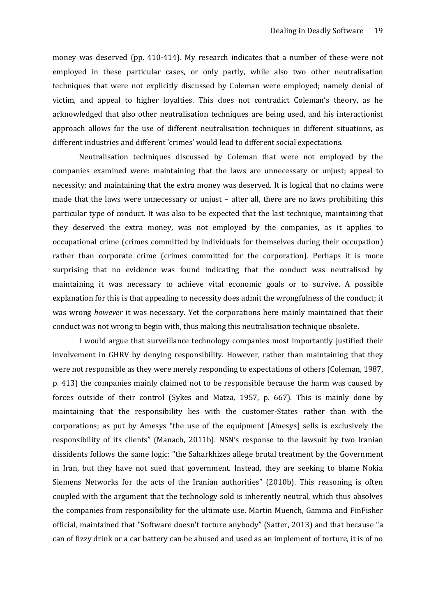money was deserved (pp. 410-414). My research indicates that a number of these were not employed in these particular cases, or only partly, while also two other neutralisation techniques that were not explicitly discussed by Coleman were employed; namely denial of victim, and appeal to higher loyalties. This does not contradict Coleman's theory, as he acknowledged that also other neutralisation techniques are being used, and his interactionist approach allows for the use of different neutralisation techniques in different situations, as different industries and different 'crimes' would lead to different social expectations.

Neutralisation techniques discussed by Coleman that were not employed by the companies examined were: maintaining that the laws are unnecessary or unjust; appeal to necessity; and maintaining that the extra money was deserved. It is logical that no claims were made that the laws were unnecessary or unjust – after all, there are no laws prohibiting this particular type of conduct. It was also to be expected that the last technique, maintaining that they deserved the extra money, was not employed by the companies, as it applies to occupational crime (crimes committed by individuals for themselves during their occupation) rather than corporate crime (crimes committed for the corporation). Perhaps it is more surprising that no evidence was found indicating that the conduct was neutralised by maintaining it was necessary to achieve vital economic goals or to survive. A possible explanation for this is that appealing to necessity does admit the wrongfulness of the conduct; it was wrong *however* it was necessary. Yet the corporations here mainly maintained that their conduct was not wrong to begin with, thus making this neutralisation technique obsolete.

I would argue that surveillance technology companies most importantly justified their involvement in GHRV by denying responsibility. However, rather than maintaining that they were not responsible as they were merely responding to expectations of others (Coleman, 1987, p. 413) the companies mainly claimed not to be responsible because the harm was caused by forces outside of their control (Sykes and Matza, 1957, p. 667). This is mainly done by maintaining that the responsibility lies with the customer-States rather than with the corporations; as put by Amesys "the use of the equipment [Amesys] sells is exclusively the responsibility of its clients" (Manach, 2011b). NSN's response to the lawsuit by two Iranian dissidents follows the same logic: "the Saharkhizes allege brutal treatment by the Government in Iran, but they have not sued that government. Instead, they are seeking to blame Nokia Siemens Networks for the acts of the Iranian authorities" (2010b). This reasoning is often coupled with the argument that the technology sold is inherently neutral, which thus absolves the companies from responsibility for the ultimate use. Martin Muench, Gamma and FinFisher official, maintained that "Software doesn't torture anybody" (Satter, 2013) and that because "a can of fizzy drink or a car battery can be abused and used as an implement of torture, it is of no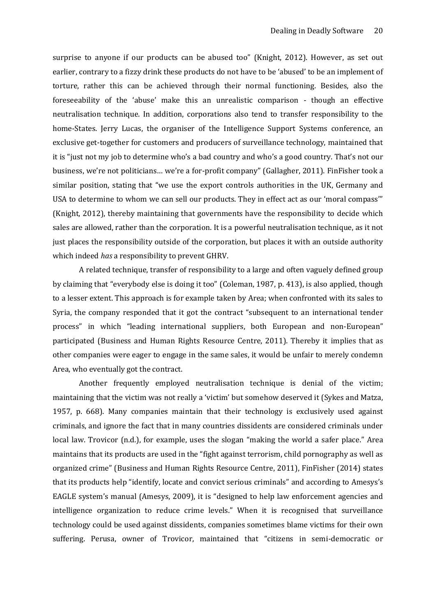surprise to anyone if our products can be abused too" (Knight, 2012). However, as set out earlier, contrary to a fizzy drink these products do not have to be 'abused' to be an implement of torture, rather this can be achieved through their normal functioning. Besides, also the foreseeability of the 'abuse' make this an unrealistic comparison - though an effective neutralisation technique. In addition, corporations also tend to transfer responsibility to the home-States. Jerry Lucas, the organiser of the Intelligence Support Systems conference, an exclusive get-together for customers and producers of surveillance technology, maintained that it is "just not my job to determine who's a bad country and who's a good country. That's not our business, we're not politicians… we're a for-profit company" (Gallagher, 2011). FinFisher took a similar position, stating that "we use the export controls authorities in the UK, Germany and USA to determine to whom we can sell our products. They in effect act as our 'moral compass'" (Knight, 2012), thereby maintaining that governments have the responsibility to decide which sales are allowed, rather than the corporation. It is a powerful neutralisation technique, as it not just places the responsibility outside of the corporation, but places it with an outside authority which indeed *has* a responsibility to prevent GHRV.

A related technique, transfer of responsibility to a large and often vaguely defined group by claiming that "everybody else is doing it too" (Coleman, 1987, p. 413), is also applied, though to a lesser extent. This approach is for example taken by Area; when confronted with its sales to Syria, the company responded that it got the contract "subsequent to an international tender process" in which "leading international suppliers, both European and non-European" participated (Business and Human Rights Resource Centre, 2011). Thereby it implies that as other companies were eager to engage in the same sales, it would be unfair to merely condemn Area, who eventually got the contract.

Another frequently employed neutralisation technique is denial of the victim; maintaining that the victim was not really a 'victim' but somehow deserved it (Sykes and Matza, 1957, p. 668). Many companies maintain that their technology is exclusively used against criminals, and ignore the fact that in many countries dissidents are considered criminals under local law. Trovicor (n.d.), for example, uses the slogan "making the world a safer place." Area maintains that its products are used in the "fight against terrorism, child pornography as well as organized crime" (Business and Human Rights Resource Centre, 2011), FinFisher (2014) states that its products help "identify, locate and convict serious criminals" and according to Amesys's EAGLE system's manual (Amesys, 2009), it is "designed to help law enforcement agencies and intelligence organization to reduce crime levels." When it is recognised that surveillance technology could be used against dissidents, companies sometimes blame victims for their own suffering. Perusa, owner of Trovicor, maintained that "citizens in semi-democratic or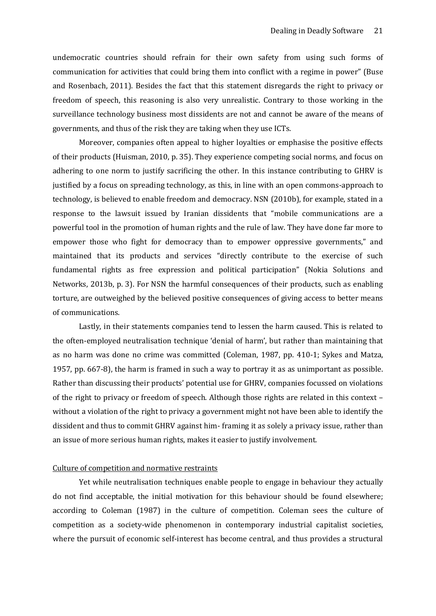undemocratic countries should refrain for their own safety from using such forms of communication for activities that could bring them into conflict with a regime in power" (Buse and Rosenbach, 2011). Besides the fact that this statement disregards the right to privacy or freedom of speech, this reasoning is also very unrealistic. Contrary to those working in the surveillance technology business most dissidents are not and cannot be aware of the means of governments, and thus of the risk they are taking when they use ICTs.

Moreover, companies often appeal to higher loyalties or emphasise the positive effects of their products (Huisman, 2010, p. 35). They experience competing social norms, and focus on adhering to one norm to justify sacrificing the other. In this instance contributing to GHRV is justified by a focus on spreading technology, as this, in line with an open commons-approach to technology, is believed to enable freedom and democracy. NSN (2010b), for example, stated in a response to the lawsuit issued by Iranian dissidents that "mobile communications are a powerful tool in the promotion of human rights and the rule of law. They have done far more to empower those who fight for democracy than to empower oppressive governments," and maintained that its products and services "directly contribute to the exercise of such fundamental rights as free expression and political participation" (Nokia Solutions and Networks, 2013b, p. 3). For NSN the harmful consequences of their products, such as enabling torture, are outweighed by the believed positive consequences of giving access to better means of communications.

Lastly, in their statements companies tend to lessen the harm caused. This is related to the often-employed neutralisation technique 'denial of harm', but rather than maintaining that as no harm was done no crime was committed (Coleman, 1987, pp. 410-1; Sykes and Matza, 1957, pp. 667-8), the harm is framed in such a way to portray it as as unimportant as possible. Rather than discussing their products' potential use for GHRV, companies focussed on violations of the right to privacy or freedom of speech. Although those rights are related in this context – without a violation of the right to privacy a government might not have been able to identify the dissident and thus to commit GHRV against him- framing it as solely a privacy issue, rather than an issue of more serious human rights, makes it easier to justify involvement.

# <span id="page-20-0"></span>Culture of competition and normative restraints

Yet while neutralisation techniques enable people to engage in behaviour they actually do not find acceptable, the initial motivation for this behaviour should be found elsewhere; according to Coleman (1987) in the culture of competition. Coleman sees the culture of competition as a society-wide phenomenon in contemporary industrial capitalist societies, where the pursuit of economic self-interest has become central, and thus provides a structural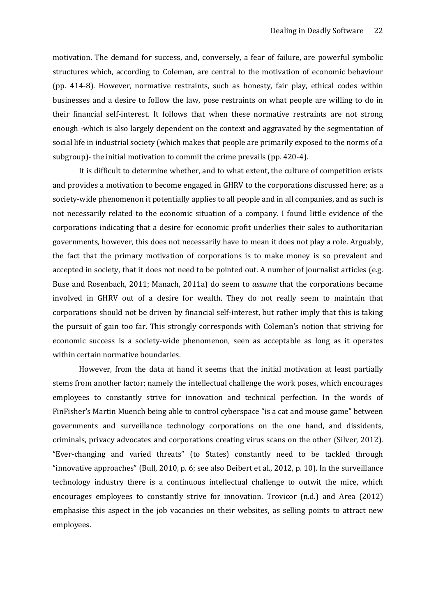motivation. The demand for success, and, conversely, a fear of failure, are powerful symbolic structures which, according to Coleman, are central to the motivation of economic behaviour (pp. 414-8). However, normative restraints, such as honesty, fair play, ethical codes within businesses and a desire to follow the law, pose restraints on what people are willing to do in their financial self-interest. It follows that when these normative restraints are not strong enough -which is also largely dependent on the context and aggravated by the segmentation of social life in industrial society (which makes that people are primarily exposed to the norms of a subgroup)- the initial motivation to commit the crime prevails (pp. 420-4).

It is difficult to determine whether, and to what extent, the culture of competition exists and provides a motivation to become engaged in GHRV to the corporations discussed here; as a society-wide phenomenon it potentially applies to all people and in all companies, and as such is not necessarily related to the economic situation of a company. I found little evidence of the corporations indicating that a desire for economic profit underlies their sales to authoritarian governments, however, this does not necessarily have to mean it does not play a role. Arguably, the fact that the primary motivation of corporations is to make money is so prevalent and accepted in society, that it does not need to be pointed out. A number of journalist articles (e.g. Buse and Rosenbach, 2011; Manach, 2011a) do seem to *assume* that the corporations became involved in GHRV out of a desire for wealth. They do not really seem to maintain that corporations should not be driven by financial self-interest, but rather imply that this is taking the pursuit of gain too far. This strongly corresponds with Coleman's notion that striving for economic success is a society-wide phenomenon, seen as acceptable as long as it operates within certain normative boundaries.

However, from the data at hand it seems that the initial motivation at least partially stems from another factor; namely the intellectual challenge the work poses, which encourages employees to constantly strive for innovation and technical perfection. In the words of FinFisher's Martin Muench being able to control cyberspace "is a cat and mouse game" between governments and surveillance technology corporations on the one hand, and dissidents, criminals, privacy advocates and corporations creating virus scans on the other (Silver, 2012). "Ever-changing and varied threats" (to States) constantly need to be tackled through "innovative approaches" (Bull, 2010, p. 6; see also Deibert et al., 2012, p. 10). In the surveillance technology industry there is a continuous intellectual challenge to outwit the mice, which encourages employees to constantly strive for innovation. Trovicor (n.d.) and Area (2012) emphasise this aspect in the job vacancies on their websites, as selling points to attract new employees.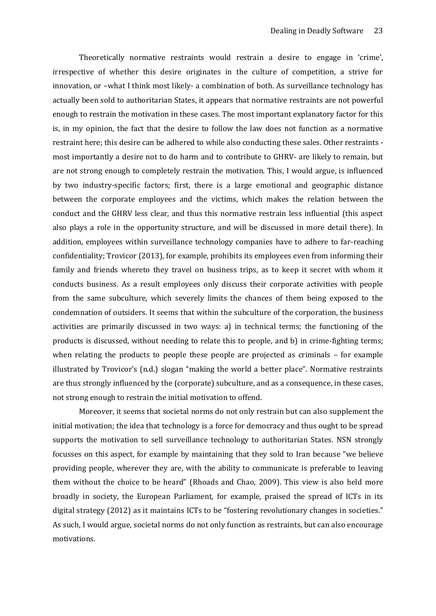Theoretically normative restraints would restrain a desire to engage in 'crime', irrespective of whether this desire originates in the culture of competition, a strive for innovation, or –what I think most likely- a combination of both. As surveillance technology has actually been sold to authoritarian States, it appears that normative restraints are not powerful enough to restrain the motivation in these cases. The most important explanatory factor for this is, in my opinion, the fact that the desire to follow the law does not function as a normative restraint here; this desire can be adhered to while also conducting these sales. Other restraints most importantly a desire not to do harm and to contribute to GHRV- are likely to remain, but are not strong enough to completely restrain the motivation. This, I would argue, is influenced by two industry-specific factors; first, there is a large emotional and geographic distance between the corporate employees and the victims, which makes the relation between the conduct and the GHRV less clear, and thus this normative restrain less influential (this aspect also plays a role in the opportunity structure, and will be discussed in more detail there). In addition, employees within surveillance technology companies have to adhere to far-reaching confidentiality; Trovicor (2013), for example, prohibits its employees even from informing their family and friends whereto they travel on business trips, as to keep it secret with whom it conducts business. As a result employees only discuss their corporate activities with people from the same subculture, which severely limits the chances of them being exposed to the condemnation of outsiders. It seems that within the subculture of the corporation, the business activities are primarily discussed in two ways: a) in technical terms; the functioning of the products is discussed, without needing to relate this to people, and b) in crime-fighting terms; when relating the products to people these people are projected as criminals – for example illustrated by Trovicor's (n.d.) slogan "making the world a better place". Normative restraints are thus strongly influenced by the (corporate) subculture, and as a consequence, in these cases, not strong enough to restrain the initial motivation to offend.

Moreover, it seems that societal norms do not only restrain but can also supplement the initial motivation; the idea that technology is a force for democracy and thus ought to be spread supports the motivation to sell surveillance technology to authoritarian States. NSN strongly focusses on this aspect, for example by maintaining that they sold to Iran because "we believe providing people, wherever they are, with the ability to communicate is preferable to leaving them without the choice to be heard" (Rhoads and Chao, 2009). This view is also held more broadly in society, the European Parliament, for example, praised the spread of ICTs in its digital strategy (2012) as it maintains ICTs to be "fostering revolutionary changes in societies." As such, I would argue, societal norms do not only function as restraints, but can also encourage motivations.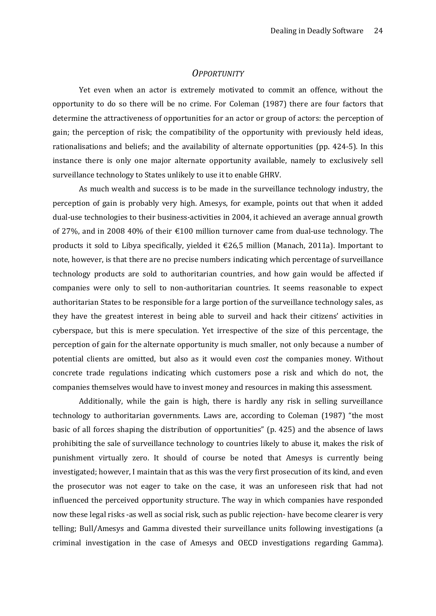#### *OPPORTUNITY*

<span id="page-23-0"></span>Yet even when an actor is extremely motivated to commit an offence, without the opportunity to do so there will be no crime. For Coleman (1987) there are four factors that determine the attractiveness of opportunities for an actor or group of actors: the perception of gain; the perception of risk; the compatibility of the opportunity with previously held ideas, rationalisations and beliefs; and the availability of alternate opportunities (pp. 424-5). In this instance there is only one major alternate opportunity available, namely to exclusively sell surveillance technology to States unlikely to use it to enable GHRV.

As much wealth and success is to be made in the surveillance technology industry, the perception of gain is probably very high. Amesys, for example, points out that when it added dual-use technologies to their business-activities in 2004, it achieved an average annual growth of 27%, and in 2008 40% of their €100 million turnover came from dual-use technology. The products it sold to Libya specifically, yielded it  $\epsilon$ 26,5 million (Manach, 2011a). Important to note, however, is that there are no precise numbers indicating which percentage of surveillance technology products are sold to authoritarian countries, and how gain would be affected if companies were only to sell to non-authoritarian countries. It seems reasonable to expect authoritarian States to be responsible for a large portion of the surveillance technology sales, as they have the greatest interest in being able to surveil and hack their citizens' activities in cyberspace, but this is mere speculation. Yet irrespective of the size of this percentage, the perception of gain for the alternate opportunity is much smaller, not only because a number of potential clients are omitted, but also as it would even *cost* the companies money. Without concrete trade regulations indicating which customers pose a risk and which do not, the companies themselves would have to invest money and resources in making this assessment.

Additionally, while the gain is high, there is hardly any risk in selling surveillance technology to authoritarian governments. Laws are, according to Coleman (1987) "the most basic of all forces shaping the distribution of opportunities" (p. 425) and the absence of laws prohibiting the sale of surveillance technology to countries likely to abuse it, makes the risk of punishment virtually zero. It should of course be noted that Amesys is currently being investigated; however, I maintain that as this was the very first prosecution of its kind, and even the prosecutor was not eager to take on the case, it was an unforeseen risk that had not influenced the perceived opportunity structure. The way in which companies have responded now these legal risks -as well as social risk, such as public rejection- have become clearer is very telling; Bull/Amesys and Gamma divested their surveillance units following investigations (a criminal investigation in the case of Amesys and OECD investigations regarding Gamma).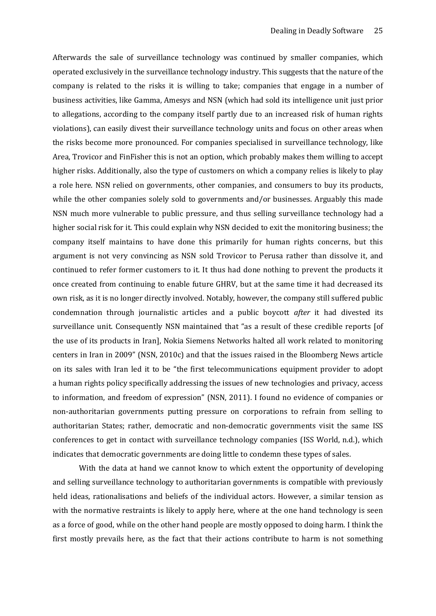Afterwards the sale of surveillance technology was continued by smaller companies, which operated exclusively in the surveillance technology industry. This suggests that the nature of the company is related to the risks it is willing to take; companies that engage in a number of business activities, like Gamma, Amesys and NSN (which had sold its intelligence unit just prior to allegations, according to the company itself partly due to an increased risk of human rights violations), can easily divest their surveillance technology units and focus on other areas when the risks become more pronounced. For companies specialised in surveillance technology, like Area, Trovicor and FinFisher this is not an option, which probably makes them willing to accept higher risks. Additionally, also the type of customers on which a company relies is likely to play a role here. NSN relied on governments, other companies, and consumers to buy its products, while the other companies solely sold to governments and/or businesses. Arguably this made NSN much more vulnerable to public pressure, and thus selling surveillance technology had a higher social risk for it. This could explain why NSN decided to exit the monitoring business; the company itself maintains to have done this primarily for human rights concerns, but this argument is not very convincing as NSN sold Trovicor to Perusa rather than dissolve it, and continued to refer former customers to it. It thus had done nothing to prevent the products it once created from continuing to enable future GHRV, but at the same time it had decreased its own risk, as it is no longer directly involved. Notably, however, the company still suffered public condemnation through journalistic articles and a public boycott *after* it had divested its surveillance unit. Consequently NSN maintained that "as a result of these credible reports [of the use of its products in Iran], Nokia Siemens Networks halted all work related to monitoring centers in Iran in 2009" (NSN, 2010c) and that the issues raised in the Bloomberg News article on its sales with Iran led it to be "the first telecommunications equipment provider to adopt a human rights policy specifically addressing the issues of new technologies and privacy, access to information, and freedom of expression" (NSN, 2011). I found no evidence of companies or non-authoritarian governments putting pressure on corporations to refrain from selling to authoritarian States; rather, democratic and non-democratic governments visit the same ISS conferences to get in contact with surveillance technology companies (ISS World, n.d.), which indicates that democratic governments are doing little to condemn these types of sales.

With the data at hand we cannot know to which extent the opportunity of developing and selling surveillance technology to authoritarian governments is compatible with previously held ideas, rationalisations and beliefs of the individual actors. However, a similar tension as with the normative restraints is likely to apply here, where at the one hand technology is seen as a force of good, while on the other hand people are mostly opposed to doing harm. I think the first mostly prevails here, as the fact that their actions contribute to harm is not something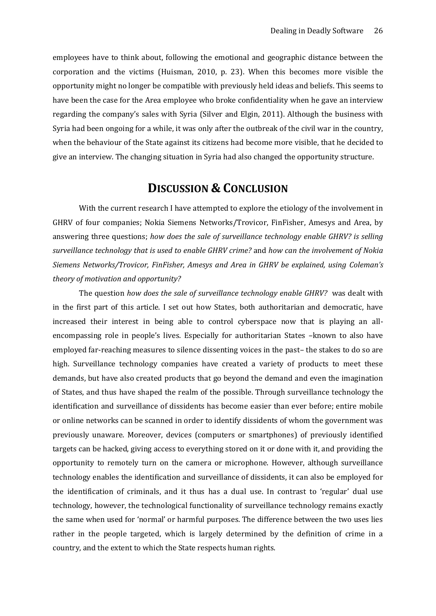employees have to think about, following the emotional and geographic distance between the corporation and the victims (Huisman, 2010, p. 23). When this becomes more visible the opportunity might no longer be compatible with previously held ideas and beliefs. This seems to have been the case for the Area employee who broke confidentiality when he gave an interview regarding the company's sales with Syria (Silver and Elgin, 2011). Although the business with Syria had been ongoing for a while, it was only after the outbreak of the civil war in the country, when the behaviour of the State against its citizens had become more visible, that he decided to give an interview. The changing situation in Syria had also changed the opportunity structure.

# **DISCUSSION & CONCLUSION**

<span id="page-25-0"></span>With the current research I have attempted to explore the etiology of the involvement in GHRV of four companies; Nokia Siemens Networks/Trovicor, FinFisher, Amesys and Area, by answering three questions; *how does the sale of surveillance technology enable GHRV? is selling surveillance technology that is used to enable GHRV crime?* and *how can the involvement of Nokia Siemens Networks/Trovicor, FinFisher, Amesys and Area in GHRV be explained, using Coleman's theory of motivation and opportunity?*

The question *how does the sale of surveillance technology enable GHRV?* was dealt with in the first part of this article. I set out how States, both authoritarian and democratic, have increased their interest in being able to control cyberspace now that is playing an allencompassing role in people's lives. Especially for authoritarian States –known to also have employed far-reaching measures to silence dissenting voices in the past– the stakes to do so are high. Surveillance technology companies have created a variety of products to meet these demands, but have also created products that go beyond the demand and even the imagination of States, and thus have shaped the realm of the possible. Through surveillance technology the identification and surveillance of dissidents has become easier than ever before; entire mobile or online networks can be scanned in order to identify dissidents of whom the government was previously unaware. Moreover, devices (computers or smartphones) of previously identified targets can be hacked, giving access to everything stored on it or done with it, and providing the opportunity to remotely turn on the camera or microphone. However, although surveillance technology enables the identification and surveillance of dissidents, it can also be employed for the identification of criminals, and it thus has a dual use. In contrast to 'regular' dual use technology, however, the technological functionality of surveillance technology remains exactly the same when used for 'normal' or harmful purposes. The difference between the two uses lies rather in the people targeted, which is largely determined by the definition of crime in a country, and the extent to which the State respects human rights.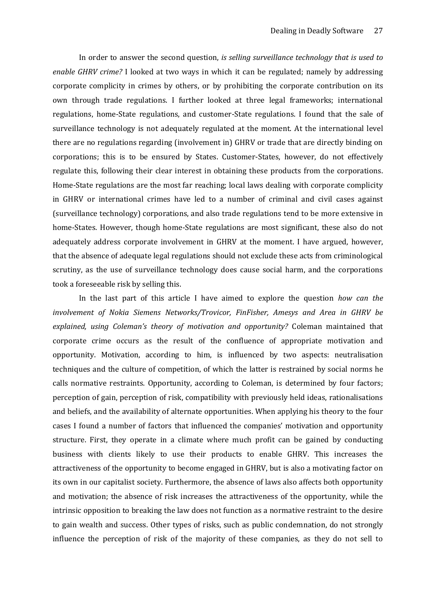In order to answer the second question, *is selling surveillance technology that is used to enable GHRV crime?* I looked at two ways in which it can be regulated; namely by addressing corporate complicity in crimes by others, or by prohibiting the corporate contribution on its own through trade regulations. I further looked at three legal frameworks; international regulations, home-State regulations, and customer-State regulations. I found that the sale of surveillance technology is not adequately regulated at the moment. At the international level there are no regulations regarding (involvement in) GHRV or trade that are directly binding on corporations; this is to be ensured by States. Customer-States, however, do not effectively regulate this, following their clear interest in obtaining these products from the corporations. Home-State regulations are the most far reaching; local laws dealing with corporate complicity in GHRV or international crimes have led to a number of criminal and civil cases against (surveillance technology) corporations, and also trade regulations tend to be more extensive in home-States. However, though home-State regulations are most significant, these also do not adequately address corporate involvement in GHRV at the moment. I have argued, however, that the absence of adequate legal regulations should not exclude these acts from criminological scrutiny, as the use of surveillance technology does cause social harm, and the corporations took a foreseeable risk by selling this.

In the last part of this article I have aimed to explore the question *how can the involvement of Nokia Siemens Networks/Trovicor, FinFisher, Amesys and Area in GHRV be explained, using Coleman's theory of motivation and opportunity?* Coleman maintained that corporate crime occurs as the result of the confluence of appropriate motivation and opportunity. Motivation, according to him, is influenced by two aspects: neutralisation techniques and the culture of competition, of which the latter is restrained by social norms he calls normative restraints. Opportunity, according to Coleman, is determined by four factors; perception of gain, perception of risk, compatibility with previously held ideas, rationalisations and beliefs, and the availability of alternate opportunities. When applying his theory to the four cases I found a number of factors that influenced the companies' motivation and opportunity structure. First, they operate in a climate where much profit can be gained by conducting business with clients likely to use their products to enable GHRV. This increases the attractiveness of the opportunity to become engaged in GHRV, but is also a motivating factor on its own in our capitalist society. Furthermore, the absence of laws also affects both opportunity and motivation; the absence of risk increases the attractiveness of the opportunity, while the intrinsic opposition to breaking the law does not function as a normative restraint to the desire to gain wealth and success. Other types of risks, such as public condemnation, do not strongly influence the perception of risk of the majority of these companies, as they do not sell to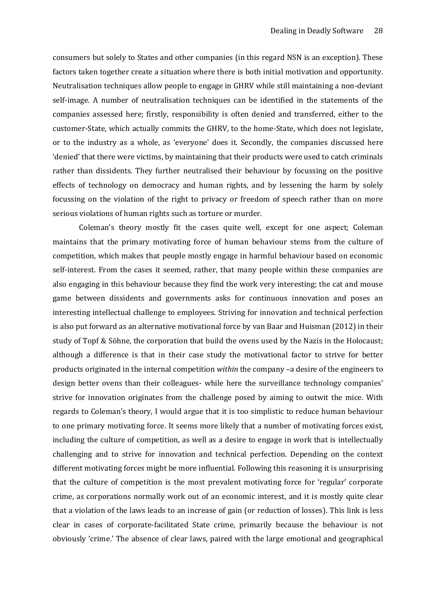consumers but solely to States and other companies (in this regard NSN is an exception). These factors taken together create a situation where there is both initial motivation and opportunity. Neutralisation techniques allow people to engage in GHRV while still maintaining a non-deviant self-image. A number of neutralisation techniques can be identified in the statements of the companies assessed here; firstly, responsibility is often denied and transferred, either to the customer-State, which actually commits the GHRV, to the home-State, which does not legislate, or to the industry as a whole, as 'everyone' does it. Secondly, the companies discussed here 'denied' that there were victims, by maintaining that their products were used to catch criminals rather than dissidents. They further neutralised their behaviour by focussing on the positive effects of technology on democracy and human rights, and by lessening the harm by solely focussing on the violation of the right to privacy or freedom of speech rather than on more serious violations of human rights such as torture or murder.

Coleman's theory mostly fit the cases quite well, except for one aspect; Coleman maintains that the primary motivating force of human behaviour stems from the culture of competition, which makes that people mostly engage in harmful behaviour based on economic self-interest. From the cases it seemed, rather, that many people within these companies are also engaging in this behaviour because they find the work very interesting; the cat and mouse game between dissidents and governments asks for continuous innovation and poses an interesting intellectual challenge to employees. Striving for innovation and technical perfection is also put forward as an alternative motivational force by van Baar and Huisman (2012) in their study of Topf & Söhne, the corporation that build the ovens used by the Nazis in the Holocaust; although a difference is that in their case study the motivational factor to strive for better products originated in the internal competition *within* the company –a desire of the engineers to design better ovens than their colleagues- while here the surveillance technology companies' strive for innovation originates from the challenge posed by aiming to outwit the mice. With regards to Coleman's theory, I would argue that it is too simplistic to reduce human behaviour to one primary motivating force. It seems more likely that a number of motivating forces exist, including the culture of competition, as well as a desire to engage in work that is intellectually challenging and to strive for innovation and technical perfection. Depending on the context different motivating forces might be more influential. Following this reasoning it is unsurprising that the culture of competition is the most prevalent motivating force for 'regular' corporate crime, as corporations normally work out of an economic interest, and it is mostly quite clear that a violation of the laws leads to an increase of gain (or reduction of losses). This link is less clear in cases of corporate-facilitated State crime, primarily because the behaviour is not obviously 'crime.' The absence of clear laws, paired with the large emotional and geographical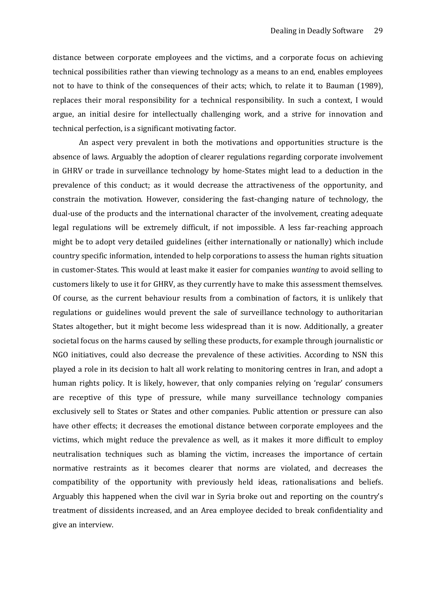distance between corporate employees and the victims, and a corporate focus on achieving technical possibilities rather than viewing technology as a means to an end, enables employees not to have to think of the consequences of their acts; which, to relate it to Bauman (1989), replaces their moral responsibility for a technical responsibility. In such a context, I would argue, an initial desire for intellectually challenging work, and a strive for innovation and technical perfection, is a significant motivating factor.

An aspect very prevalent in both the motivations and opportunities structure is the absence of laws. Arguably the adoption of clearer regulations regarding corporate involvement in GHRV or trade in surveillance technology by home-States might lead to a deduction in the prevalence of this conduct; as it would decrease the attractiveness of the opportunity, and constrain the motivation. However, considering the fast-changing nature of technology, the dual-use of the products and the international character of the involvement, creating adequate legal regulations will be extremely difficult, if not impossible. A less far-reaching approach might be to adopt very detailed guidelines (either internationally or nationally) which include country specific information, intended to help corporations to assess the human rights situation in customer-States. This would at least make it easier for companies *wanting* to avoid selling to customers likely to use it for GHRV, as they currently have to make this assessment themselves. Of course, as the current behaviour results from a combination of factors, it is unlikely that regulations or guidelines would prevent the sale of surveillance technology to authoritarian States altogether, but it might become less widespread than it is now. Additionally, a greater societal focus on the harms caused by selling these products, for example through journalistic or NGO initiatives, could also decrease the prevalence of these activities. According to NSN this played a role in its decision to halt all work relating to monitoring centres in Iran, and adopt a human rights policy. It is likely, however, that only companies relying on 'regular' consumers are receptive of this type of pressure, while many surveillance technology companies exclusively sell to States or States and other companies. Public attention or pressure can also have other effects; it decreases the emotional distance between corporate employees and the victims, which might reduce the prevalence as well, as it makes it more difficult to employ neutralisation techniques such as blaming the victim, increases the importance of certain normative restraints as it becomes clearer that norms are violated, and decreases the compatibility of the opportunity with previously held ideas, rationalisations and beliefs. Arguably this happened when the civil war in Syria broke out and reporting on the country's treatment of dissidents increased, and an Area employee decided to break confidentiality and give an interview.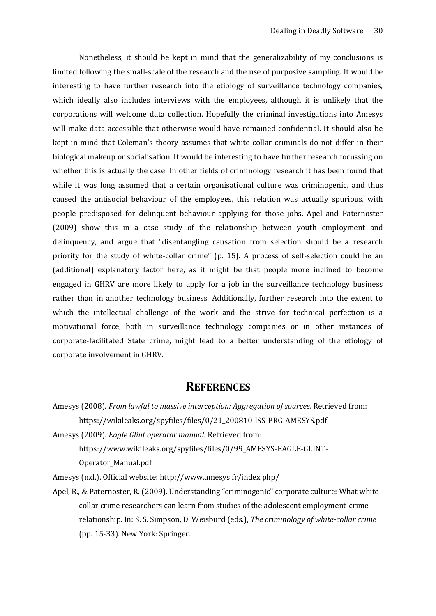Nonetheless, it should be kept in mind that the generalizability of my conclusions is limited following the small-scale of the research and the use of purposive sampling. It would be interesting to have further research into the etiology of surveillance technology companies, which ideally also includes interviews with the employees, although it is unlikely that the corporations will welcome data collection. Hopefully the criminal investigations into Amesys will make data accessible that otherwise would have remained confidential. It should also be kept in mind that Coleman's theory assumes that white-collar criminals do not differ in their biological makeup or socialisation. It would be interesting to have further research focussing on whether this is actually the case. In other fields of criminology research it has been found that while it was long assumed that a certain organisational culture was criminogenic, and thus caused the antisocial behaviour of the employees, this relation was actually spurious, with people predisposed for delinquent behaviour applying for those jobs. Apel and Paternoster (2009) show this in a case study of the relationship between youth employment and delinquency, and argue that "disentangling causation from selection should be a research priority for the study of white-collar crime" (p. 15). A process of self-selection could be an (additional) explanatory factor here, as it might be that people more inclined to become engaged in GHRV are more likely to apply for a job in the surveillance technology business rather than in another technology business. Additionally, further research into the extent to which the intellectual challenge of the work and the strive for technical perfection is a motivational force, both in surveillance technology companies or in other instances of corporate-facilitated State crime, might lead to a better understanding of the etiology of corporate involvement in GHRV.

# <span id="page-29-0"></span>**REFERENCES**

Amesys (2008). *From lawful to massive interception: Aggregation of sources.* Retrieved from: https://wikileaks.org/spyfiles/files/0/21\_200810-ISS-PRG-AMESYS.pdf

Amesys (2009). *Eagle Glint operator manual.* Retrieved from: https://www.wikileaks.org/spyfiles/files/0/99\_AMESYS-EAGLE-GLINT-Operator\_Manual.pdf

Amesys (n.d.). Official website: http://www.amesys.fr/index.php/

Apel, R., & Paternoster, R. (2009). Understanding "criminogenic" corporate culture: What whitecollar crime researchers can learn from studies of the adolescent employment-crime relationship. In: S. S. Simpson, D. Weisburd (eds.), *The criminology of white-collar crime*  (pp. 15-33). New York: Springer.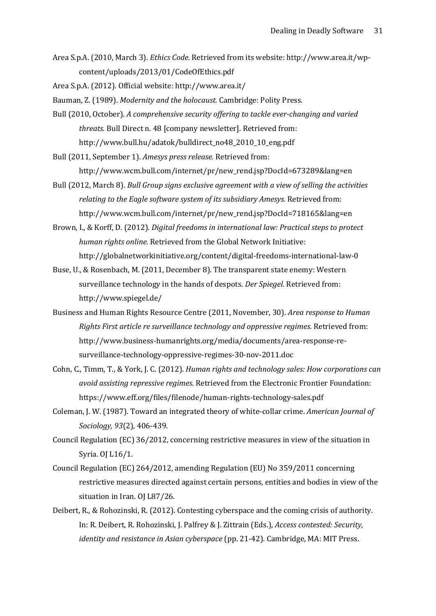Area S.p.A. (2010, March 3). *Ethics Code.* Retrieved from its website: http://www.area.it/wpcontent/uploads/2013/01/CodeOfEthics.pdf

Area S.p.A. (2012). Official website: http://www.area.it/

- Bauman, Z. (1989). *Modernity and the holocaust.* Cambridge: Polity Press.
- Bull (2010, October). *A comprehensive security offering to tackle ever-changing and varied threats.* Bull Direct n. 48 [company newsletter]. Retrieved from: http://www.bull.hu/adatok/bulldirect\_no48\_2010\_10\_eng.pdf

Bull (2011, September 1). *Amesys press release.* Retrieved from: http://www.wcm.bull.com/internet/pr/new\_rend.jsp?DocId=673289&lang=en

- Bull (2012, March 8). *Bull Group signs exclusive agreement with a view of selling the activities relating to the Eagle software system of its subsidiary Amesys.* Retrieved from: http://www.wcm.bull.com/internet/pr/new\_rend.jsp?DocId=718165&lang=en
- Brown, I., & Korff, D. (2012). *Digital freedoms in international law: Practical steps to protect human rights online.* Retrieved from the Global Network Initiative: http://globalnetworkinitiative.org/content/digital-freedoms-international-law-0
- Buse, U., & Rosenbach, M. (2011, December 8). The transparent state enemy: Western surveillance technology in the hands of despots. *Der Spiegel.* Retrieved from: http://www.spiegel.de/
- Business and Human Rights Resource Centre (2011, November, 30). *Area response to Human Rights First article re surveillance technology and oppressive regimes.* Retrieved from: http://www.business-humanrights.org/media/documents/area-response-resurveillance-technology-oppressive-regimes-30-nov-2011.doc
- Cohn, C., Timm, T., & York, J. C. (2012). *Human rights and technology sales: How corporations can avoid assisting repressive regimes.* Retrieved from the Electronic Frontier Foundation: https://www.eff.org/files/filenode/human-rights-technology-sales.pdf
- Coleman, J. W. (1987). Toward an integrated theory of white-collar crime. *American Journal of Sociology, 93*(2), 406-439.
- Council Regulation (EC) 36/2012, concerning restrictive measures in view of the situation in Syria. OJ L16/1.
- Council Regulation (EC) 264/2012, amending Regulation (EU) No 359/2011 concerning restrictive measures directed against certain persons, entities and bodies in view of the situation in Iran. OJ L87/26.
- Deibert, R., & Rohozinski, R. (2012). Contesting cyberspace and the coming crisis of authority. In: R. Deibert, R. Rohozinski, J. Palfrey & J. Zittrain (Eds.), *Access contested: Security, identity and resistance in Asian cyberspace* (pp. 21-42). Cambridge, MA: MIT Press.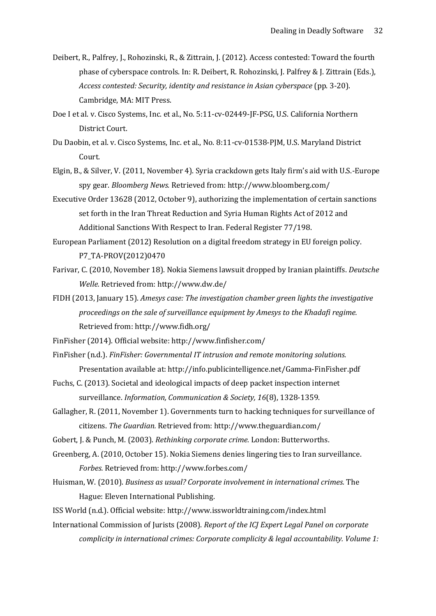- Deibert, R., Palfrey, J., Rohozinski, R., & Zittrain, J. (2012). Access contested: Toward the fourth phase of cyberspace controls. In: R. Deibert, R. Rohozinski, J. Palfrey & J. Zittrain (Eds.), *Access contested: Security, identity and resistance in Asian cyberspace* (pp. 3-20). Cambridge, MA: MIT Press.
- Doe I et al. v. Cisco Systems, Inc. et al., No. 5:11-cv-02449-JF-PSG, U.S. California Northern District Court.
- Du Daobin, et al. v. Cisco Systems, Inc. et al., No. 8:11-cv-01538-PJM, U.S. Maryland District Court.
- Elgin, B., & Silver, V. (2011, November 4). Syria crackdown gets Italy firm's aid with U.S.-Europe spy gear. *Bloomberg News.* Retrieved from: http://www.bloomberg.com/
- Executive Order 13628 (2012, October 9), authorizing the implementation of certain sanctions set forth in the Iran Threat Reduction and Syria Human Rights Act of 2012 and Additional Sanctions With Respect to Iran. Federal Register 77/198.
- European Parliament (2012) Resolution on a digital freedom strategy in EU foreign policy. P7\_TA-PROV(2012)0470
- Farivar, C. (2010, November 18). Nokia Siemens lawsuit dropped by Iranian plaintiffs. *Deutsche Welle.* Retrieved from: http://www.dw.de/
- FIDH (2013, January 15). *Amesys case: The investigation chamber green lights the investigative proceedings on the sale of surveillance equipment by Amesys to the Khadafi regime.*  Retrieved from: http://www.fidh.org/
- FinFisher (2014). Official website: http://www.finfisher.com/
- FinFisher (n.d.). *FinFisher: Governmental IT intrusion and remote monitoring solutions.*  Presentation available at: http://info.publicintelligence.net/Gamma-FinFisher.pdf
- Fuchs, C. (2013). Societal and ideological impacts of deep packet inspection internet surveillance. *Information, Communication & Society, 16*(8), 1328-1359.
- Gallagher, R. (2011, November 1). Governments turn to hacking techniques for surveillance of citizens. *The Guardian.* Retrieved from: http://www.theguardian.com/
- Gobert, J. & Punch, M. (2003). *Rethinking corporate crime.* London: Butterworths.
- Greenberg, A. (2010, October 15). Nokia Siemens denies lingering ties to Iran surveillance. *Forbes.* Retrieved from: http://www.forbes.com/
- Huisman, W. (2010). *Business as usual? Corporate involvement in international crimes.* The Hague: Eleven International Publishing.
- ISS World (n.d.). Official website: http://www.issworldtraining.com/index.html
- International Commission of Jurists (2008). *Report of the ICJ Expert Legal Panel on corporate complicity in international crimes: Corporate complicity & legal accountability. Volume 1:*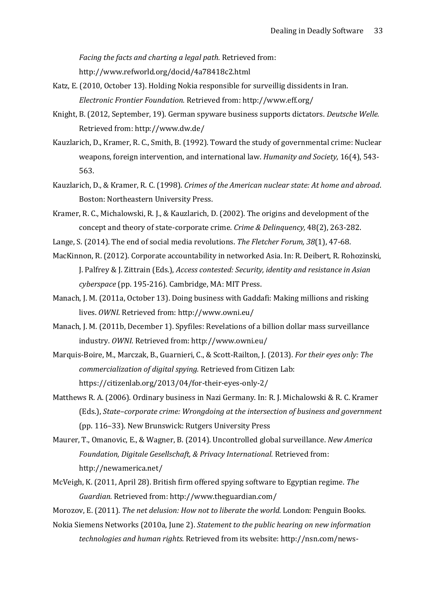*Facing the facts and charting a legal path.* Retrieved from:

http://www.refworld.org/docid/4a78418c2.html

- Katz, E. (2010, October 13). Holding Nokia responsible for surveillig dissidents in Iran. *Electronic Frontier Foundation.* Retrieved from: http://www.eff.org/
- Knight, B. (2012, September, 19). German spyware business supports dictators. *Deutsche Welle.*  Retrieved from: http://www.dw.de/
- Kauzlarich, D., Kramer, R. C., Smith, B. (1992). Toward the study of governmental crime: Nuclear weapons, foreign intervention, and international law. *Humanity and Society,* 16(4), 543- 563.
- Kauzlarich, D., & Kramer, R. C. (1998). *Crimes of the American nuclear state: At home and abroad*. Boston: Northeastern University Press.
- Kramer, R. C., Michalowski, R. J., & Kauzlarich, D. (2002). The origins and development of the concept and theory of state-corporate crime. *Crime & Delinquency,* 48(2), 263-282.
- Lange, S. (2014). The end of social media revolutions. *The Fletcher Forum, 38*(1), 47-68.
- MacKinnon, R. (2012). Corporate accountability in networked Asia. In: R. Deibert, R. Rohozinski, J. Palfrey & J. Zittrain (Eds.), *Access contested: Security, identity and resistance in Asian cyberspace* (pp. 195-216). Cambridge, MA: MIT Press.
- Manach, J. M. (2011a, October 13). Doing business with Gaddafi: Making millions and risking lives. *OWNI.* Retrieved from: http://www.owni.eu/
- Manach, J. M. (2011b, December 1). Spyfiles: Revelations of a billion dollar mass surveillance industry. *OWNI.* Retrieved from: http://www.owni.eu/
- Marquis-Boire, M., Marczak, B., Guarnieri, C., & Scott-Railton, J. (2013). *For their eyes only: The commercialization of digital spying.* Retrieved from Citizen Lab: https://citizenlab.org/2013/04/for-their-eyes-only-2/
- Matthews R. A. (2006). Ordinary business in Nazi Germany. In: R. J. Michalowski & R. C. Kramer (Eds.), *State–corporate crime: Wrongdoing at the intersection of business and government* (pp. 116–33). New Brunswick: Rutgers University Press
- Maurer, T., Omanovic, E., & Wagner, B. (2014). Uncontrolled global surveillance. *New America Foundation, Digitale Gesellschaft, & Privacy International.* Retrieved from: http://newamerica.net/
- McVeigh, K. (2011, April 28). British firm offered spying software to Egyptian regime. *The Guardian.* Retrieved from: http://www.theguardian.com/
- Morozov, E. (2011). *The net delusion: How not to liberate the world.* London: Penguin Books.
- Nokia Siemens Networks (2010a, June 2). *Statement to the public hearing on new information technologies and human rights.* Retrieved from its website: http://nsn.com/news-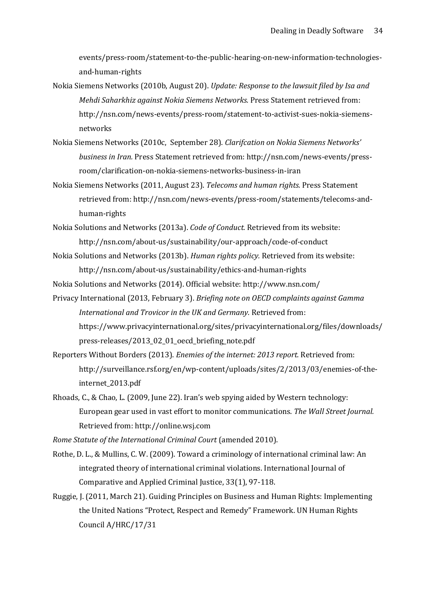events/press-room/statement-to-the-public-hearing-on-new-information-technologiesand-human-rights

- Nokia Siemens Networks (2010b, August 20). *Update: Response to the lawsuit filed by Isa and Mehdi Saharkhiz against Nokia Siemens Networks.* Press Statement retrieved from: http://nsn.com/news-events/press-room/statement-to-activist-sues-nokia-siemensnetworks
- Nokia Siemens Networks (2010c, September 28). *Clarifcation on Nokia Siemens Networks' business in Iran.* Press Statement retrieved from: http://nsn.com/news-events/pressroom/clarification-on-nokia-siemens-networks-business-in-iran
- Nokia Siemens Networks (2011, August 23). *Telecoms and human rights.* Press Statement retrieved from: http://nsn.com/news-events/press-room/statements/telecoms-andhuman-rights
- Nokia Solutions and Networks (2013a). *Code of Conduct.* Retrieved from its website: http://nsn.com/about-us/sustainability/our-approach/code-of-conduct
- Nokia Solutions and Networks (2013b). *Human rights policy.* Retrieved from its website: http://nsn.com/about-us/sustainability/ethics-and-human-rights
- Nokia Solutions and Networks (2014). Official website: http://www.nsn.com/
- Privacy International (2013, February 3). *Briefing note on OECD complaints against Gamma International and Trovicor in the UK and Germany.* Retrieved from: https://www.privacyinternational.org/sites/privacyinternational.org/files/downloads/ press-releases/2013\_02\_01\_oecd\_briefing\_note.pdf
- Reporters Without Borders (2013). *Enemies of the internet: 2013 report.* Retrieved from: http://surveillance.rsf.org/en/wp-content/uploads/sites/2/2013/03/enemies-of-theinternet\_2013.pdf
- Rhoads, C., & Chao, L. (2009, June 22). Iran's web spying aided by Western technology: European gear used in vast effort to monitor communications. *The Wall Street Journal.*  Retrieved from: http://online.wsj.com

*Rome Statute of the International Criminal Court* (amended 2010).

- Rothe, D. L., & Mullins, C. W. (2009). Toward a criminology of international criminal law: An integrated theory of international criminal violations. International Journal of Comparative and Applied Criminal Justice, 33(1), 97-118.
- Ruggie, J. (2011, March 21). Guiding Principles on Business and Human Rights: Implementing the United Nations "Protect, Respect and Remedy" Framework. UN Human Rights Council A/HRC/17/31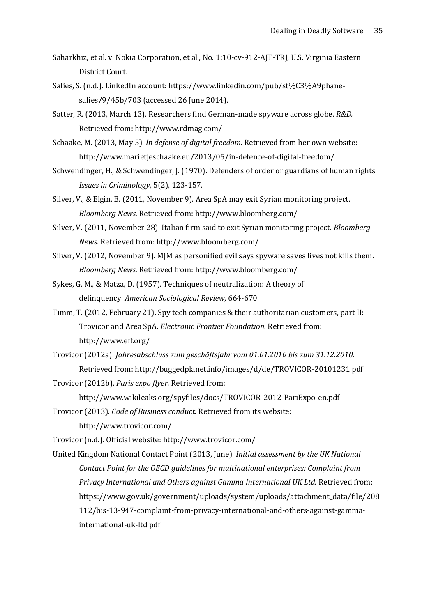- Saharkhiz, et al. v. Nokia Corporation, et al., No. 1:10-cv-912-AJT-TRJ, U.S. Virginia Eastern District Court.
- Salies, S. (n.d.). LinkedIn account: https://www.linkedin.com/pub/st%C3%A9phanesalies/9/45b/703 (accessed 26 June 2014).
- Satter, R. (2013, March 13). Researchers find German-made spyware across globe. *R&D.*  Retrieved from: http://www.rdmag.com/
- Schaake, M. (2013, May 5). *In defense of digital freedom.* Retrieved from her own website: http://www.marietjeschaake.eu/2013/05/in-defence-of-digital-freedom/
- Schwendinger, H., & Schwendinger, J. (1970). Defenders of order or guardians of human rights. *Issues in Criminology*, 5(2), 123-157.
- Silver, V., & Elgin, B. (2011, November 9). Area SpA may exit Syrian monitoring project. *Bloomberg News.* Retrieved from: http://www.bloomberg.com/
- Silver, V. (2011, November 28). Italian firm said to exit Syrian monitoring project. *Bloomberg News.* Retrieved from: http://www.bloomberg.com/
- Silver, V. (2012, November 9). MJM as personified evil says spyware saves lives not kills them. *Bloomberg News.* Retrieved from: http://www.bloomberg.com/
- Sykes, G. M., & Matza, D. (1957). Techniques of neutralization: A theory of delinquency. *American Sociological Review*, 664-670.
- Timm, T. (2012, February 21). Spy tech companies & their authoritarian customers, part II: Trovicor and Area SpA. *Electronic Frontier Foundation.* Retrieved from: http://www.eff.org/
- Trovicor (2012a). *Jahresabschluss zum geschäftsjahr vom 01.01.2010 bis zum 31.12.2010.*  Retrieved from: http://buggedplanet.info/images/d/de/TROVICOR-20101231.pdf
- Trovicor (2012b). *Paris expo flyer.* Retrieved from: http://www.wikileaks.org/spyfiles/docs/TROVICOR-2012-PariExpo-en.pdf
- Trovicor (2013). *Code of Business conduct.* Retrieved from its website: http://www.trovicor.com/
- Trovicor (n.d.). Official website: http://www.trovicor.com/
- United Kingdom National Contact Point (2013, June). *Initial assessment by the UK National Contact Point for the OECD guidelines for multinational enterprises: Complaint from Privacy International and Others against Gamma International UK Ltd.* Retrieved from: https://www.gov.uk/government/uploads/system/uploads/attachment\_data/file/208 112/bis-13-947-complaint-from-privacy-international-and-others-against-gammainternational-uk-ltd.pdf